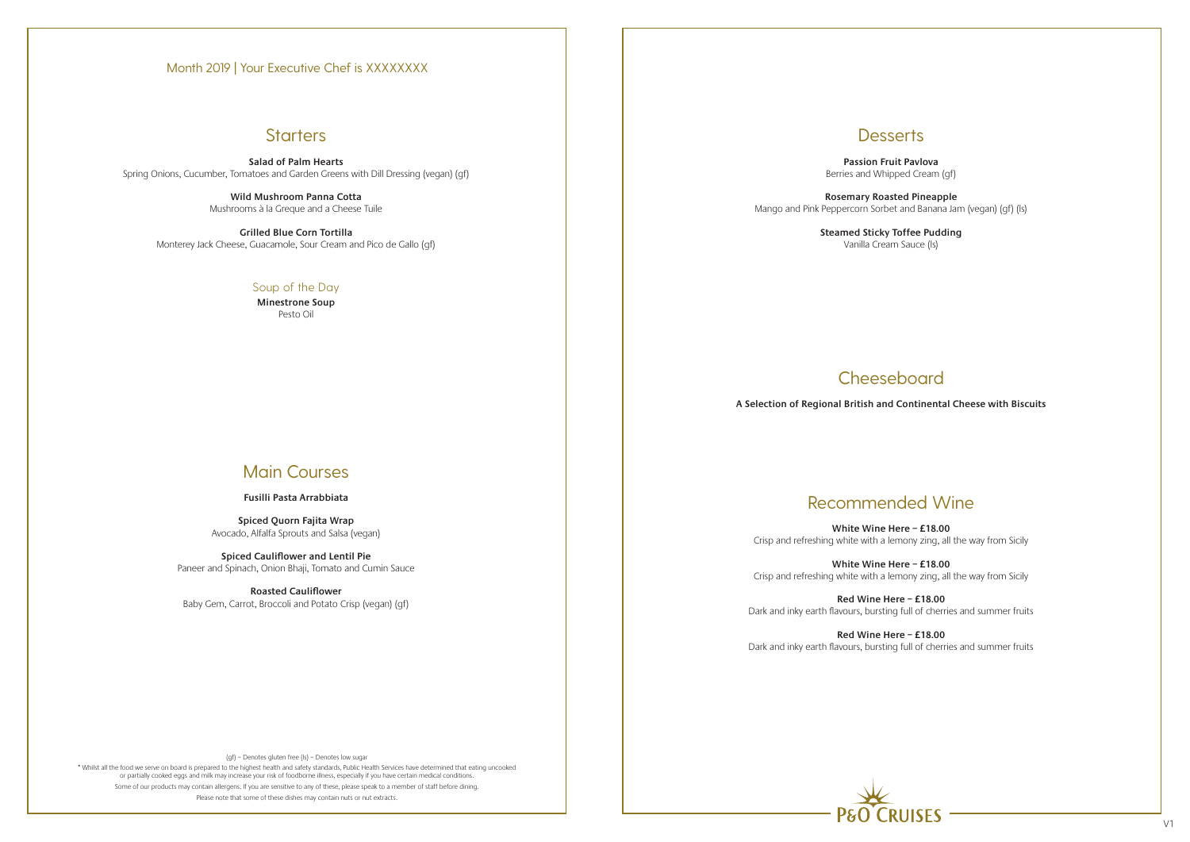## **Starters**

(gf) – Denotes gluten free (ls) – Denotes low sugar

\* Whilst all the food we serve on board is prepared to the highest health and safety standards, Public Health Services have determined that eating uncooked or partially cooked eggs and milk may increase your risk of foodborne illness, especially if you have certain medical conditions. Some of our products may contain allergens. If you are sensitive to any of these, please speak to a member of staff before dining. Please note that some of these dishes may contain nuts or nut extracts.



**Salad of Palm Hearts**  Spring Onions, Cucumber, Tomatoes and Garden Greens with Dill Dressing (vegan) (gf)

> **Wild Mushroom Panna Cotta** Mushrooms à la Greque and a Cheese Tuile

**Grilled Blue Corn Tortilla**  Monterey Jack Cheese, Guacamole, Sour Cream and Pico de Gallo (gf)

### Soup of the Day

**Minestrone Soup** Pesto Oil

# Main Courses

### **Fusilli Pasta Arrabbiata**

**Spiced Quorn Fajita Wrap** Avocado, Alfalfa Sprouts and Salsa (vegan)

**Spiced Cauliflower and Lentil Pie** Paneer and Spinach, Onion Bhaji, Tomato and Cumin Sauce

**Roasted Cauliflower** Baby Gem, Carrot, Broccoli and Potato Crisp (vegan) (gf)

## **Desserts**

**Passion Fruit Pavlova** Berries and Whipped Cream (gf)

**Rosemary Roasted Pineapple** Mango and Pink Peppercorn Sorbet and Banana Jam (vegan) (gf) (ls)

> **Steamed Sticky Toffee Pudding** Vanilla Cream Sauce (ls)

# **Cheeseboard**

# Recommended Wine

**White Wine Here – £18.00** Crisp and refreshing white with a lemony zing, all the way from Sicily

**White Wine Here – £18.00** Crisp and refreshing white with a lemony zing, all the way from Sicily

**Red Wine Here – £18.00** Dark and inky earth flavours, bursting full of cherries and summer fruits

**Red Wine Here – £18.00** Dark and inky earth flavours, bursting full of cherries and summer fruits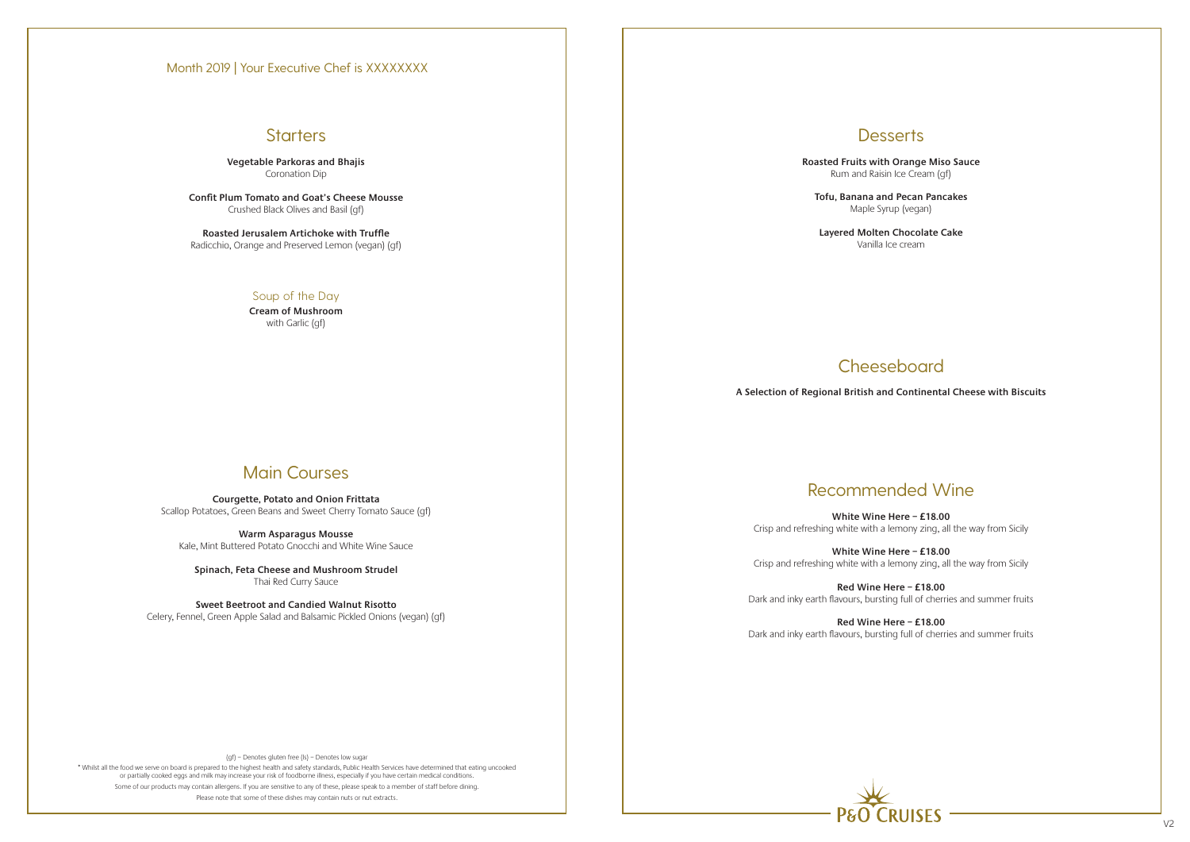## **Starters**

(gf) – Denotes gluten free (ls) – Denotes low sugar

\* Whilst all the food we serve on board is prepared to the highest health and safety standards, Public Health Services have determined that eating uncooked or partially cooked eggs and milk may increase your risk of foodborne illness, especially if you have certain medical conditions. Some of our products may contain allergens. If you are sensitive to any of these, please speak to a member of staff before dining. Please note that some of these dishes may contain nuts or nut extracts.

## **Desserts**

**Vegetable Parkoras and Bhajis** Coronation Dip

**Confit Plum Tomato and Goat's Cheese Mousse** Crushed Black Olives and Basil (gf)

**Roasted Jerusalem Artichoke with Truffle** Radicchio, Orange and Preserved Lemon (vegan) (gf)

### Soup of the Day

**Cream of Mushroom** with Garlic (gf)

# Main Courses

**Courgette, Potato and Onion Frittata** Scallop Potatoes, Green Beans and Sweet Cherry Tomato Sauce (gf)

**Warm Asparagus Mousse** Kale, Mint Buttered Potato Gnocchi and White Wine Sauce

**Spinach, Feta Cheese and Mushroom Strudel** Thai Red Curry Sauce

**Sweet Beetroot and Candied Walnut Risotto** Celery, Fennel, Green Apple Salad and Balsamic Pickled Onions (vegan) (gf) **Roasted Fruits with Orange Miso Sauce** Rum and Raisin Ice Cream (gf)

**Tofu, Banana and Pecan Pancakes** Maple Syrup (vegan)

**Layered Molten Chocolate Cake**  Vanilla Ice cream

# Recommended Wine

**White Wine Here – £18.00** Crisp and refreshing white with a lemony zing, all the way from Sicily

**White Wine Here – £18.00** Crisp and refreshing white with a lemony zing, all the way from Sicily

**Red Wine Here – £18.00** Dark and inky earth flavours, bursting full of cherries and summer fruits

**Red Wine Here – £18.00** Dark and inky earth flavours, bursting full of cherries and summer fruits



# Cheeseboard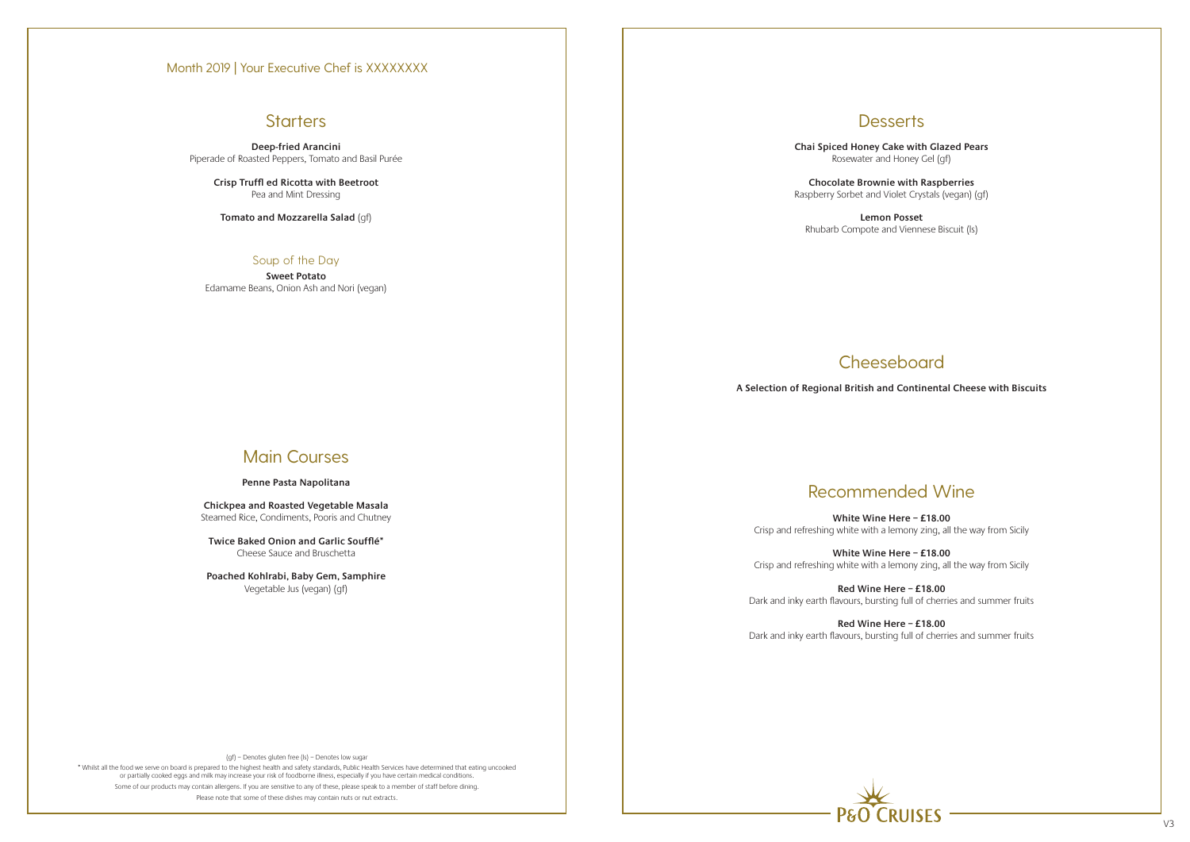## **Starters**

(gf) – Denotes gluten free (ls) – Denotes low sugar

\* Whilst all the food we serve on board is prepared to the highest health and safety standards, Public Health Services have determined that eating uncooked or partially cooked eggs and milk may increase your risk of foodborne illness, especially if you have certain medical conditions. Some of our products may contain allergens. If you are sensitive to any of these, please speak to a member of staff before dining. Please note that some of these dishes may contain nuts or nut extracts.



**Deep-fried Arancini**  Piperade of Roasted Peppers, Tomato and Basil Purée

> **Crisp Truffl ed Ricotta with Beetroot** Pea and Mint Dressing

**Tomato and Mozzarella Salad** (gf)

### Soup of the Day

**Sweet Potato** Edamame Beans, Onion Ash and Nori (vegan)

# Main Courses

### **Penne Pasta Napolitana**

**Chickpea and Roasted Vegetable Masala** Steamed Rice, Condiments, Pooris and Chutney

**Twice Baked Onion and Garlic Soufflé\*** Cheese Sauce and Bruschetta

**Poached Kohlrabi, Baby Gem, Samphire** Vegetable Jus (vegan) (gf)

### **Desserts**

**Chai Spiced Honey Cake with Glazed Pears** Rosewater and Honey Gel (gf)

**Chocolate Brownie with Raspberries** Raspberry Sorbet and Violet Crystals (vegan) (gf)

**Lemon Posset** Rhubarb Compote and Viennese Biscuit (ls)

# Recommended Wine

**White Wine Here – £18.00** Crisp and refreshing white with a lemony zing, all the way from Sicily

**White Wine Here – £18.00** Crisp and refreshing white with a lemony zing, all the way from Sicily

**Red Wine Here – £18.00** Dark and inky earth flavours, bursting full of cherries and summer fruits

**Red Wine Here – £18.00** Dark and inky earth flavours, bursting full of cherries and summer fruits

# Cheeseboard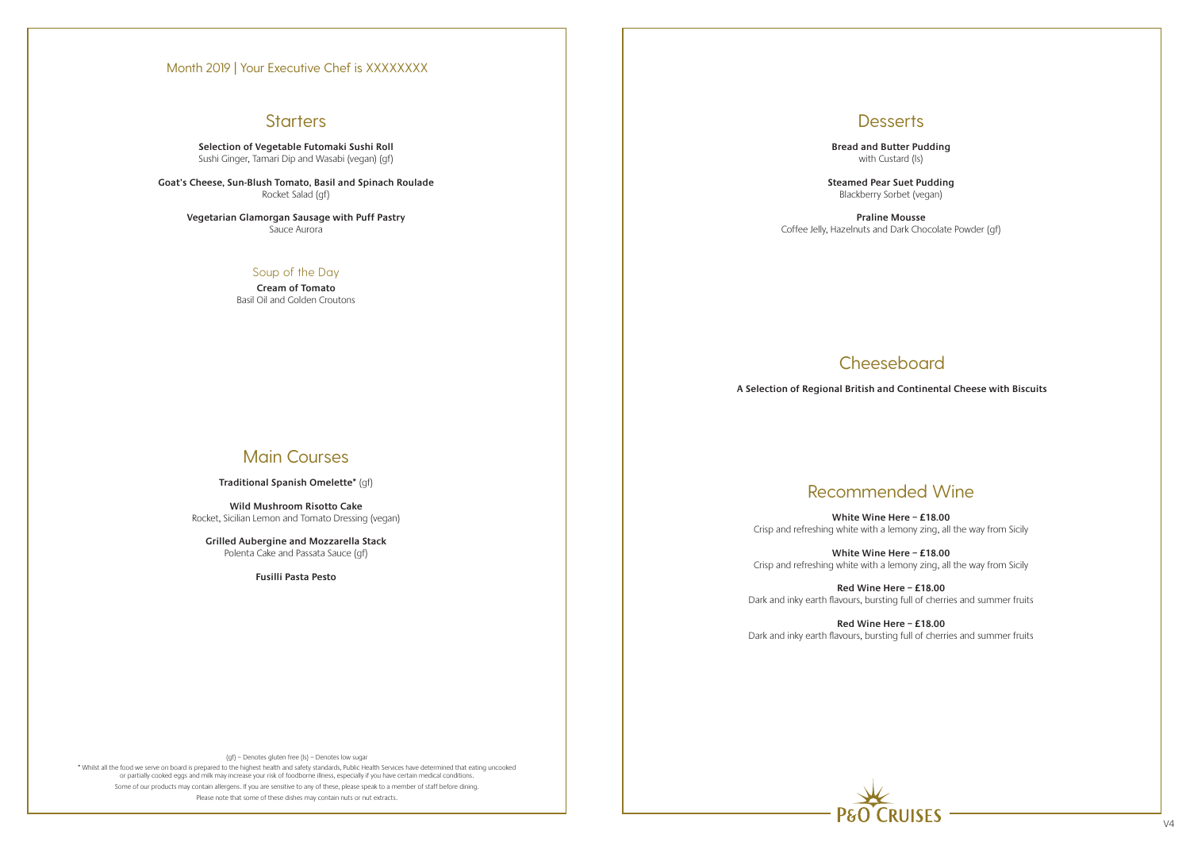# **Starters**

(gf) – Denotes gluten free (ls) – Denotes low sugar

\* Whilst all the food we serve on board is prepared to the highest health and safety standards, Public Health Services have determined that eating uncooked or partially cooked eggs and milk may increase your risk of foodborne illness, especially if you have certain medical conditions. Some of our products may contain allergens. If you are sensitive to any of these, please speak to a member of staff before dining. Please note that some of these dishes may contain nuts or nut extracts.



**Selection of Vegetable Futomaki Sushi Roll** Sushi Ginger, Tamari Dip and Wasabi (vegan) (gf)

**Goat's Cheese, Sun-Blush Tomato, Basil and Spinach Roulade** Rocket Salad (gf)

**Vegetarian Glamorgan Sausage with Puff Pastry** Sauce Aurora

### Soup of the Day

**Cream of Tomato** Basil Oil and Golden Croutons

# Main Courses

**Traditional Spanish Omelette\*** (gf)

**Wild Mushroom Risotto Cake** Rocket, Sicilian Lemon and Tomato Dressing (vegan)

**Grilled Aubergine and Mozzarella Stack** Polenta Cake and Passata Sauce (gf)

**Fusilli Pasta Pesto**

## **Desserts**

**Bread and Butter Pudding** with Custard (ls)

**Steamed Pear Suet Pudding** Blackberry Sorbet (vegan)

**Praline Mousse**  Coffee Jelly, Hazelnuts and Dark Chocolate Powder (gf)

# **Cheeseboard**

# Recommended Wine

**White Wine Here – £18.00** Crisp and refreshing white with a lemony zing, all the way from Sicily

**White Wine Here – £18.00** Crisp and refreshing white with a lemony zing, all the way from Sicily

**Red Wine Here – £18.00** Dark and inky earth flavours, bursting full of cherries and summer fruits

**Red Wine Here – £18.00** Dark and inky earth flavours, bursting full of cherries and summer fruits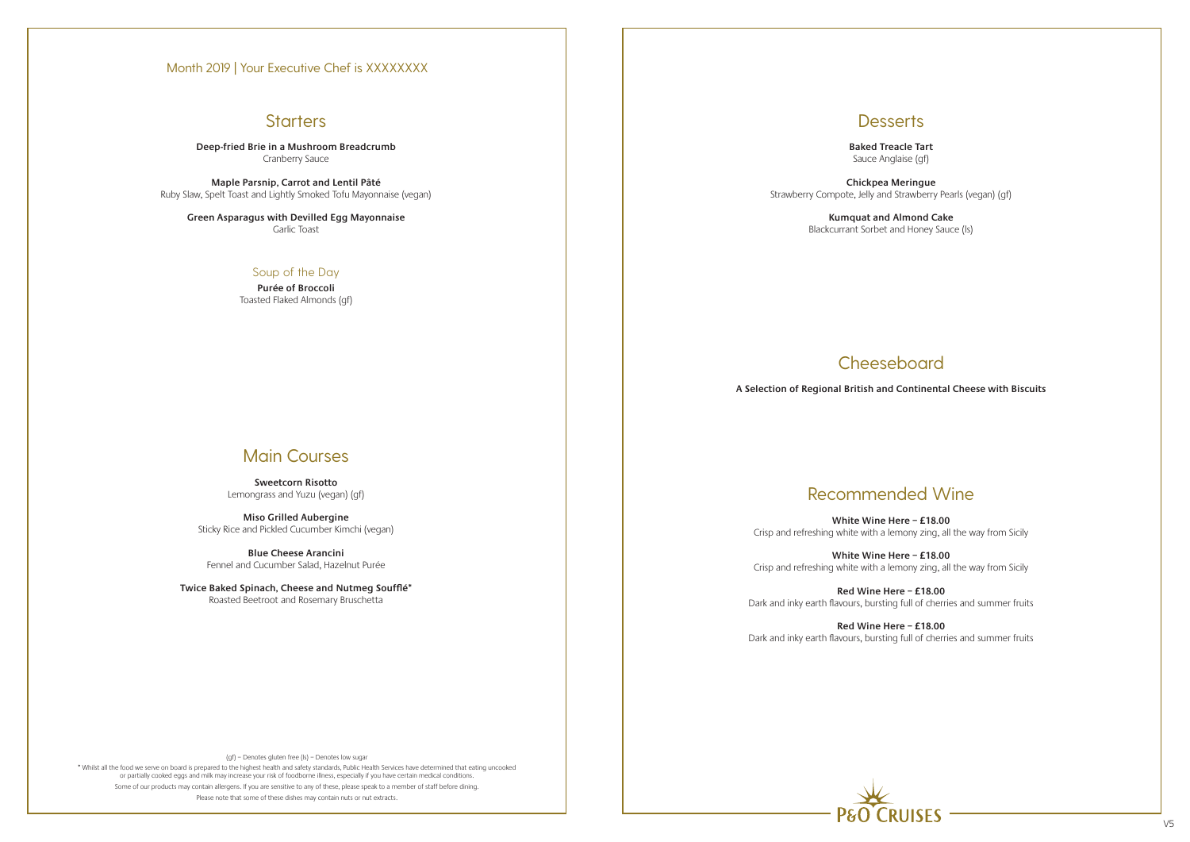## **Starters**

(gf) – Denotes gluten free (ls) – Denotes low sugar

\* Whilst all the food we serve on board is prepared to the highest health and safety standards, Public Health Services have determined that eating uncooked or partially cooked eggs and milk may increase your risk of foodborne illness, especially if you have certain medical conditions. Some of our products may contain allergens. If you are sensitive to any of these, please speak to a member of staff before dining. Please note that some of these dishes may contain nuts or nut extracts.



**Deep-fried Brie in a Mushroom Breadcrumb** Cranberry Sauce

**Maple Parsnip, Carrot and Lentil Pâté** Ruby Slaw, Spelt Toast and Lightly Smoked Tofu Mayonnaise (vegan)

**Green Asparagus with Devilled Egg Mayonnaise** Garlic Toast

### Soup of the Day

**Purée of Broccoli** Toasted Flaked Almonds (gf)

# Main Courses

**Sweetcorn Risotto** Lemongrass and Yuzu (vegan) (gf)

**Miso Grilled Aubergine** Sticky Rice and Pickled Cucumber Kimchi (vegan)

**Blue Cheese Arancini** Fennel and Cucumber Salad, Hazelnut Purée

**Twice Baked Spinach, Cheese and Nutmeg Soufflé\*** Roasted Beetroot and Rosemary Bruschetta

## **Desserts**

**Baked Treacle Tart** Sauce Anglaise (gf)

**Chickpea Meringue** Strawberry Compote, Jelly and Strawberry Pearls (vegan) (gf)

> **Kumquat and Almond Cake** Blackcurrant Sorbet and Honey Sauce (ls)

# Recommended Wine

**White Wine Here – £18.00** Crisp and refreshing white with a lemony zing, all the way from Sicily

**White Wine Here – £18.00** Crisp and refreshing white with a lemony zing, all the way from Sicily

**Red Wine Here – £18.00** Dark and inky earth flavours, bursting full of cherries and summer fruits

**Red Wine Here – £18.00** Dark and inky earth flavours, bursting full of cherries and summer fruits

# Cheeseboard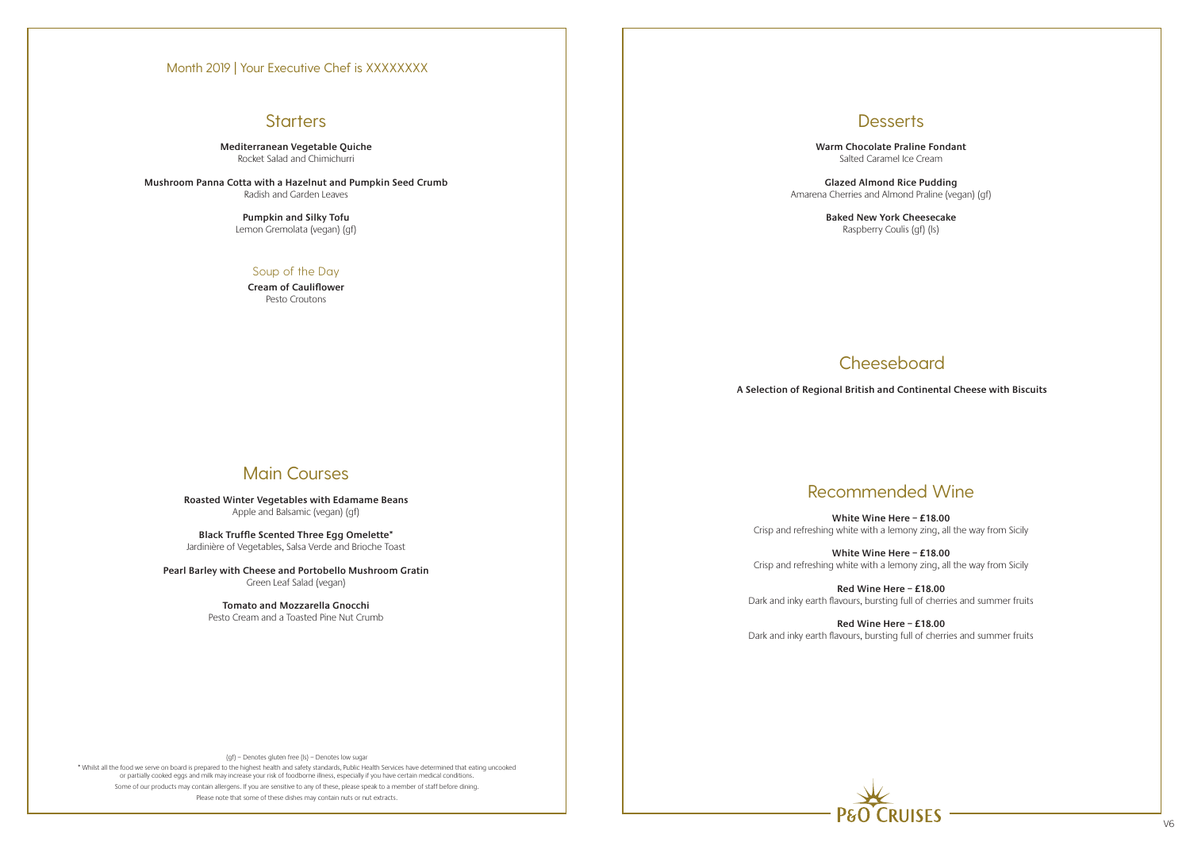# **Starters**

(gf) – Denotes gluten free (ls) – Denotes low sugar

\* Whilst all the food we serve on board is prepared to the highest health and safety standards, Public Health Services have determined that eating uncooked or partially cooked eggs and milk may increase your risk of foodborne illness, especially if you have certain medical conditions. Some of our products may contain allergens. If you are sensitive to any of these, please speak to a member of staff before dining. Please note that some of these dishes may contain nuts or nut extracts.



**Mediterranean Vegetable Quiche** Rocket Salad and Chimichurri

**Mushroom Panna Cotta with a Hazelnut and Pumpkin Seed Crumb** Radish and Garden Leaves

> **Pumpkin and Silky Tofu** Lemon Gremolata (vegan) (gf)

### Soup of the Day

**Cream of Cauliflower** Pesto Croutons

# Main Courses

**Roasted Winter Vegetables with Edamame Beans** Apple and Balsamic (vegan) (gf)

**Black Truffle Scented Three Egg Omelette\*** Jardinière of Vegetables, Salsa Verde and Brioche Toast

**Pearl Barley with Cheese and Portobello Mushroom Gratin** Green Leaf Salad (vegan)

> **Tomato and Mozzarella Gnocchi** Pesto Cream and a Toasted Pine Nut Crumb

# **Desserts**

**Warm Chocolate Praline Fondant** Salted Caramel Ice Cream

**Glazed Almond Rice Pudding** Amarena Cherries and Almond Praline (vegan) (gf)

> **Baked New York Cheesecake** Raspberry Coulis (gf) (ls)

# **Cheeseboard**

# Recommended Wine

**White Wine Here – £18.00** Crisp and refreshing white with a lemony zing, all the way from Sicily

**White Wine Here – £18.00** Crisp and refreshing white with a lemony zing, all the way from Sicily

**Red Wine Here – £18.00** Dark and inky earth flavours, bursting full of cherries and summer fruits

**Red Wine Here – £18.00** Dark and inky earth flavours, bursting full of cherries and summer fruits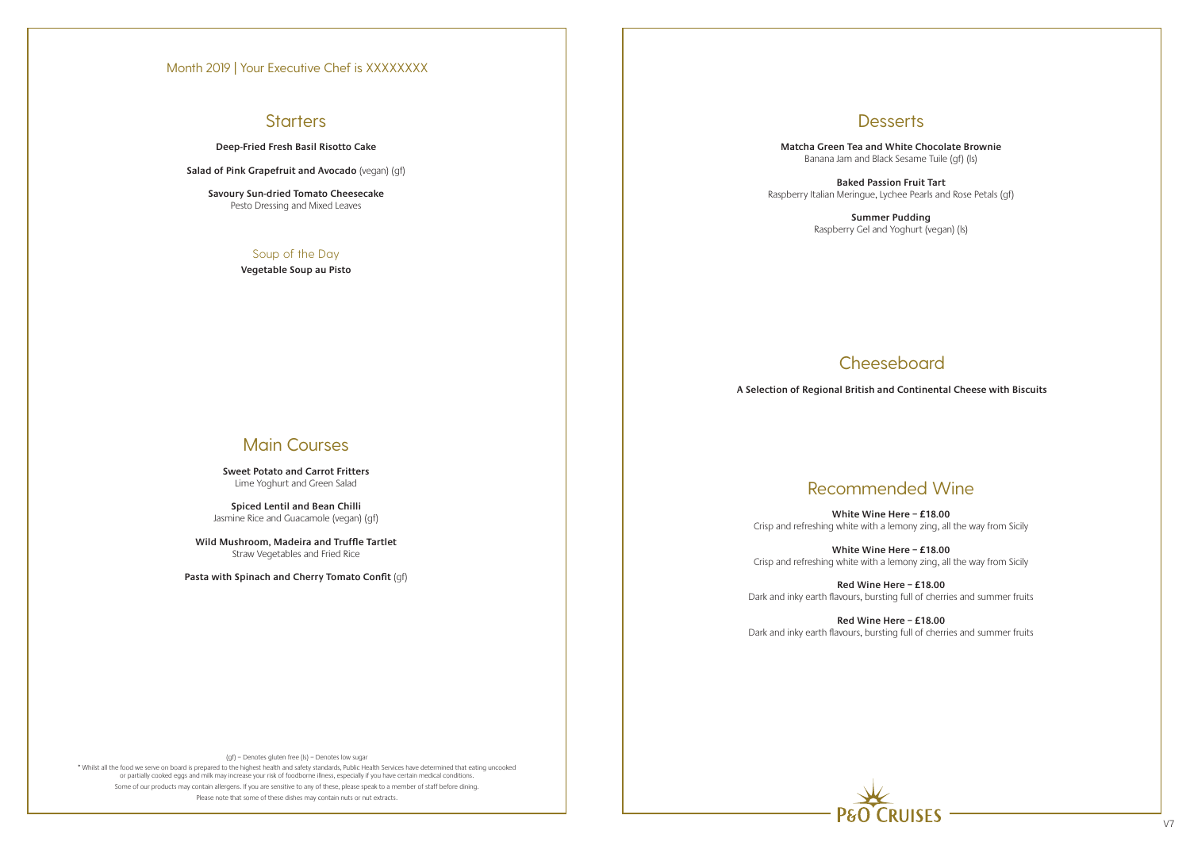# **Starters**

(gf) – Denotes gluten free (ls) – Denotes low sugar

\* Whilst all the food we serve on board is prepared to the highest health and safety standards, Public Health Services have determined that eating uncooked or partially cooked eggs and milk may increase your risk of foodborne illness, especially if you have certain medical conditions. Some of our products may contain allergens. If you are sensitive to any of these, please speak to a member of staff before dining. Please note that some of these dishes may contain nuts or nut extracts.



**Deep-Fried Fresh Basil Risotto Cake** 

**Salad of Pink Grapefruit and Avocado** (vegan) (gf)

**Savoury Sun-dried Tomato Cheesecake** Pesto Dressing and Mixed Leaves

### Soup of the Day

**Vegetable Soup au Pisto**

# Main Courses

**Sweet Potato and Carrot Fritters** Lime Yoghurt and Green Salad

**Spiced Lentil and Bean Chilli** Jasmine Rice and Guacamole (vegan) (gf)

**Wild Mushroom, Madeira and Truffle Tartlet** Straw Vegetables and Fried Rice

**Pasta with Spinach and Cherry Tomato Confit** (gf)

## **Desserts**

**Matcha Green Tea and White Chocolate Brownie** Banana Jam and Black Sesame Tuile (gf) (ls)

**Baked Passion Fruit Tart**  Raspberry Italian Meringue, Lychee Pearls and Rose Petals (gf)

> **Summer Pudding** Raspberry Gel and Yoghurt (vegan) (ls)

# **Cheeseboard**

# Recommended Wine

**White Wine Here – £18.00** Crisp and refreshing white with a lemony zing, all the way from Sicily

**White Wine Here – £18.00** Crisp and refreshing white with a lemony zing, all the way from Sicily

**Red Wine Here – £18.00** Dark and inky earth flavours, bursting full of cherries and summer fruits

**Red Wine Here – £18.00** Dark and inky earth flavours, bursting full of cherries and summer fruits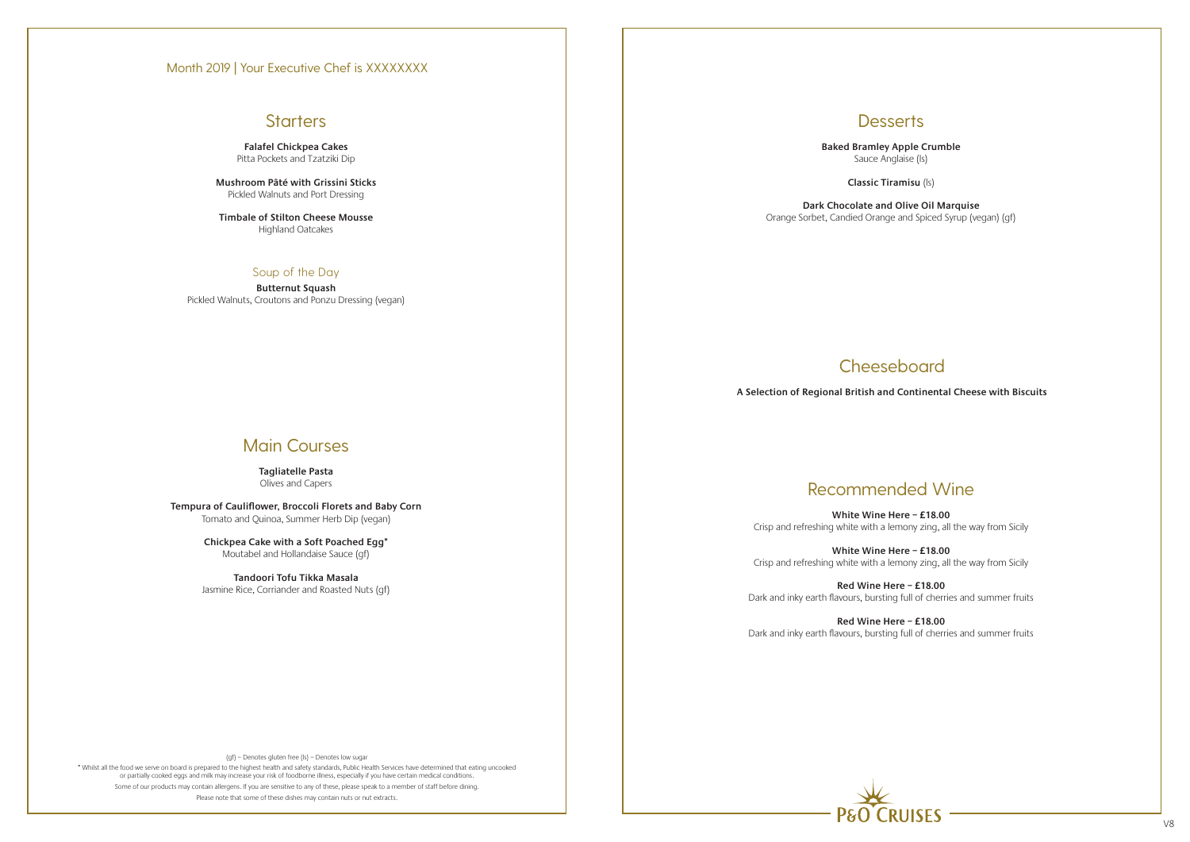# **Starters**

(gf) – Denotes gluten free (ls) – Denotes low sugar

\* Whilst all the food we serve on board is prepared to the highest health and safety standards, Public Health Services have determined that eating uncooked or partially cooked eggs and milk may increase your risk of foodborne illness, especially if you have certain medical conditions. Some of our products may contain allergens. If you are sensitive to any of these, please speak to a member of staff before dining. Please note that some of these dishes may contain nuts or nut extracts.



**Falafel Chickpea Cakes** Pitta Pockets and Tzatziki Dip

**Mushroom Pâté with Grissini Sticks** Pickled Walnuts and Port Dressing

**Timbale of Stilton Cheese Mousse** Highland Oatcakes

### Soup of the Day

**Butternut Squash** Pickled Walnuts, Croutons and Ponzu Dressing (vegan)

# Main Courses

**Tagliatelle Pasta** Olives and Capers

**Tempura of Cauliflower, Broccoli Florets and Baby Corn** Tomato and Quinoa, Summer Herb Dip (vegan)

> **Chickpea Cake with a Soft Poached Egg\*** Moutabel and Hollandaise Sauce (gf)

**Tandoori Tofu Tikka Masala** Jasmine Rice, Corriander and Roasted Nuts (gf) **Desserts** 

**Baked Bramley Apple Crumble** Sauce Anglaise (ls)

**Classic Tiramisu** (ls)

**Dark Chocolate and Olive Oil Marquise** Orange Sorbet, Candied Orange and Spiced Syrup (vegan) (gf)

# Recommended Wine

**White Wine Here – £18.00** Crisp and refreshing white with a lemony zing, all the way from Sicily

**White Wine Here – £18.00** Crisp and refreshing white with a lemony zing, all the way from Sicily

**Red Wine Here – £18.00** Dark and inky earth flavours, bursting full of cherries and summer fruits

**Red Wine Here – £18.00** Dark and inky earth flavours, bursting full of cherries and summer fruits

# Cheeseboard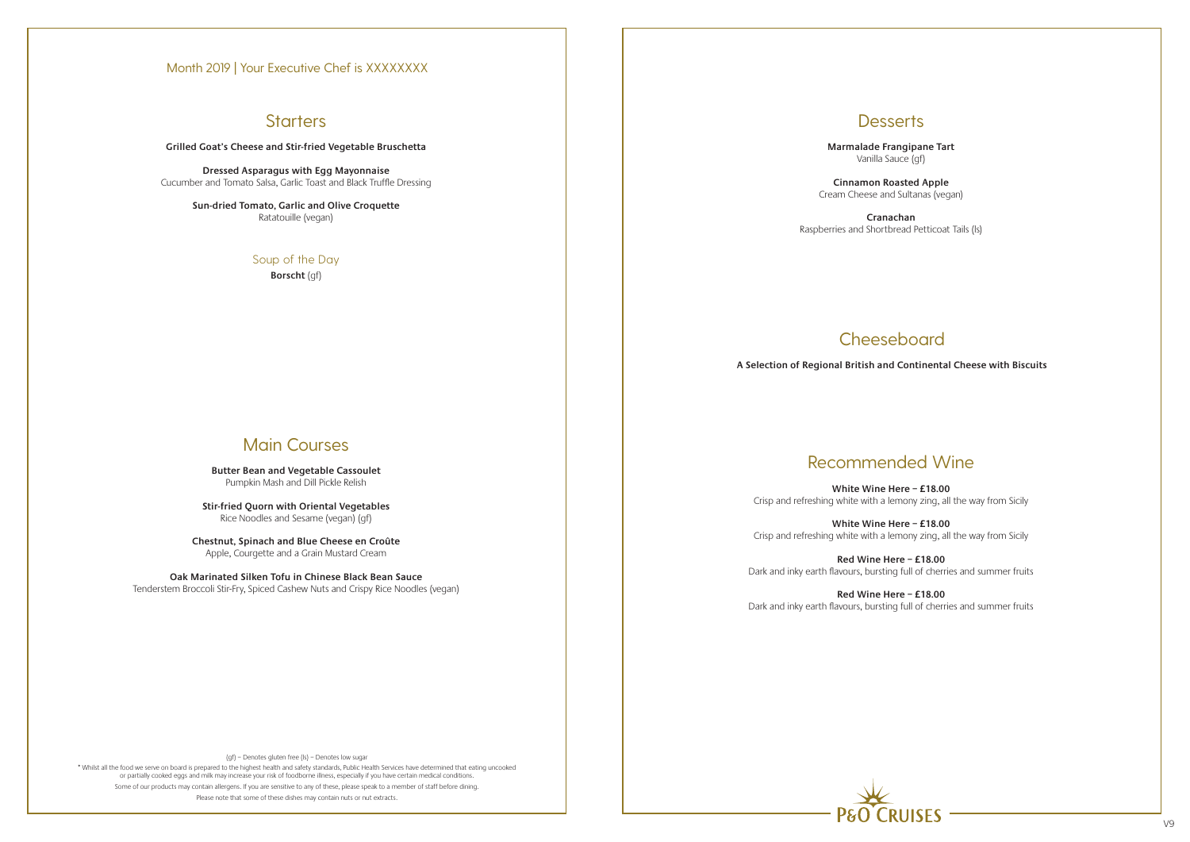\* Whilst all the food we serve on board is prepared to the highest health and safety standards, Public Health Services have determined that eating uncooked or partially cooked eggs and milk may increase your risk of foodborne illness, especially if you have certain medical conditions. Some of our products may contain allergens. If you are sensitive to any of these, please speak to a member of staff before dining. Please note that some of these dishes may contain nuts or nut extracts.

# **RIJISES**

**Grilled Goat's Cheese and Stir-fried Vegetable Bruschetta**

**Dressed Asparagus with Egg Mayonnaise** Cucumber and Tomato Salsa, Garlic Toast and Black Truffle Dressing

> **Sun-dried Tomato, Garlic and Olive Croquette** Ratatouille (vegan)

> > Soup of the Day

**Borscht** (gf)

# Main Courses

**Butter Bean and Vegetable Cassoulet** Pumpkin Mash and Dill Pickle Relish

**Stir-fried Quorn with Oriental Vegetables** Rice Noodles and Sesame (vegan) (gf)

**Chestnut, Spinach and Blue Cheese en Croûte**  Apple, Courgette and a Grain Mustard Cream

**Oak Marinated Silken Tofu in Chinese Black Bean Sauce** Tenderstem Broccoli Stir-Fry, Spiced Cashew Nuts and Crispy Rice Noodles (vegan)

## **Desserts**

**Marmalade Frangipane Tart** Vanilla Sauce (gf)

**Cinnamon Roasted Apple**  Cream Cheese and Sultanas (vegan)

**Cranachan**  Raspberries and Shortbread Petticoat Tails (ls)

# Recommended Wine

**White Wine Here – £18.00** Crisp and refreshing white with a lemony zing, all the way from Sicily

**White Wine Here – £18.00** Crisp and refreshing white with a lemony zing, all the way from Sicily

**Red Wine Here – £18.00** Dark and inky earth flavours, bursting full of cherries and summer fruits

**Red Wine Here – £18.00** Dark and inky earth flavours, bursting full of cherries and summer fruits

# Cheeseboard

**A Selection of Regional British and Continental Cheese with Biscuits**

### Month 2019 | Your Executive Chef is XXXXXXXX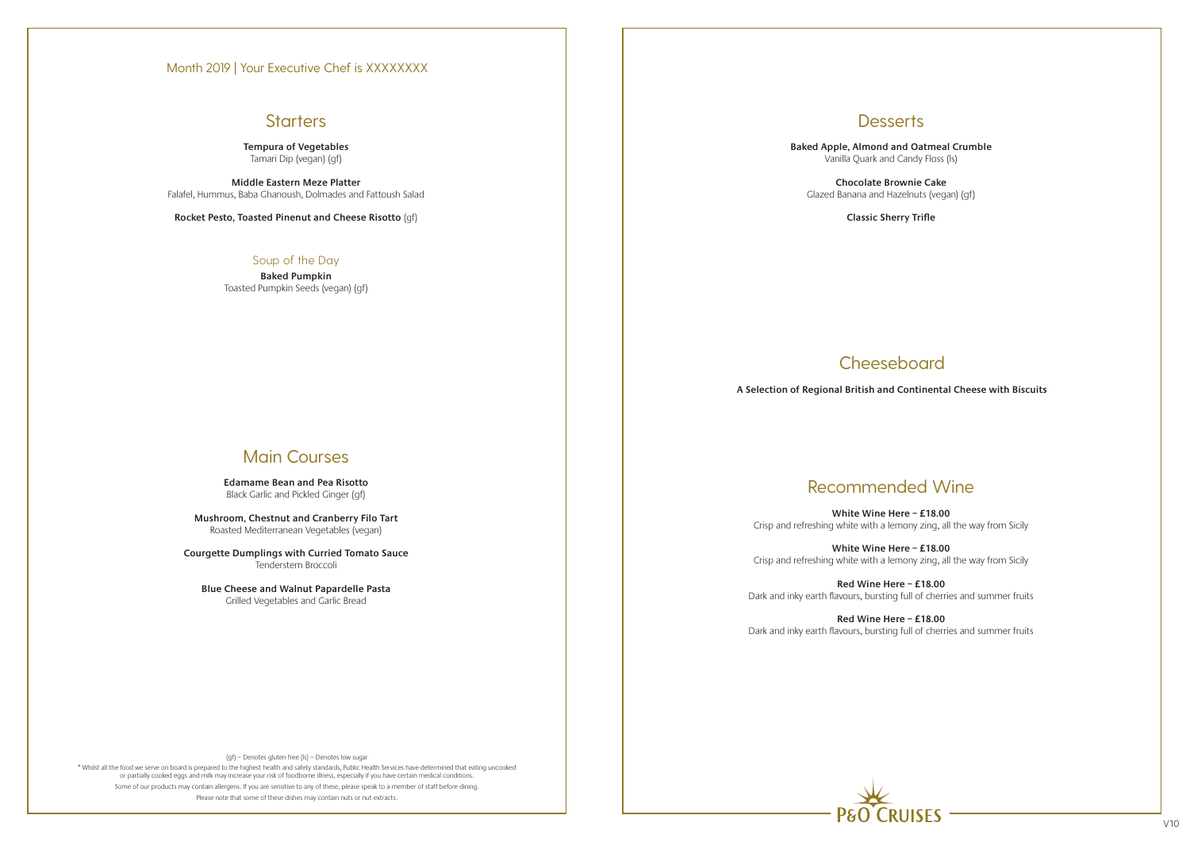# **Starters**

(gf) – Denotes gluten free (ls) – Denotes low sugar

\* Whilst all the food we serve on board is prepared to the highest health and safety standards, Public Health Services have determined that eating uncooked or partially cooked eggs and milk may increase your risk of foodborne illness, especially if you have certain medical conditions. Some of our products may contain allergens. If you are sensitive to any of these, please speak to a member of staff before dining. Please note that some of these dishes may contain nuts or nut extracts.



### **Tempura of Vegetables** Tamari Dip (vegan) (gf)

**Middle Eastern Meze Platter** Falafel, Hummus, Baba Ghanoush, Dolmades and Fattoush Salad

**Rocket Pesto, Toasted Pinenut and Cheese Risotto** (gf)

### Soup of the Day

**Baked Pumpkin** Toasted Pumpkin Seeds (vegan) (gf)

# Main Courses

**Edamame Bean and Pea Risotto** Black Garlic and Pickled Ginger (gf)

**Mushroom, Chestnut and Cranberry Filo Tart** Roasted Mediterranean Vegetables (vegan)

**Courgette Dumplings with Curried Tomato Sauce** Tenderstem Broccoli

**Blue Cheese and Walnut Papardelle Pasta** Grilled Vegetables and Garlic Bread

**Desserts** 

**Baked Apple, Almond and Oatmeal Crumble** Vanilla Quark and Candy Floss (ls)

**Chocolate Brownie Cake** Glazed Banana and Hazelnuts (vegan) (gf)

**Classic Sherry Trifle**

**Cheeseboard** 

# Recommended Wine

**White Wine Here – £18.00** Crisp and refreshing white with a lemony zing, all the way from Sicily

**White Wine Here – £18.00** Crisp and refreshing white with a lemony zing, all the way from Sicily

**Red Wine Here – £18.00** Dark and inky earth flavours, bursting full of cherries and summer fruits

**Red Wine Here – £18.00** Dark and inky earth flavours, bursting full of cherries and summer fruits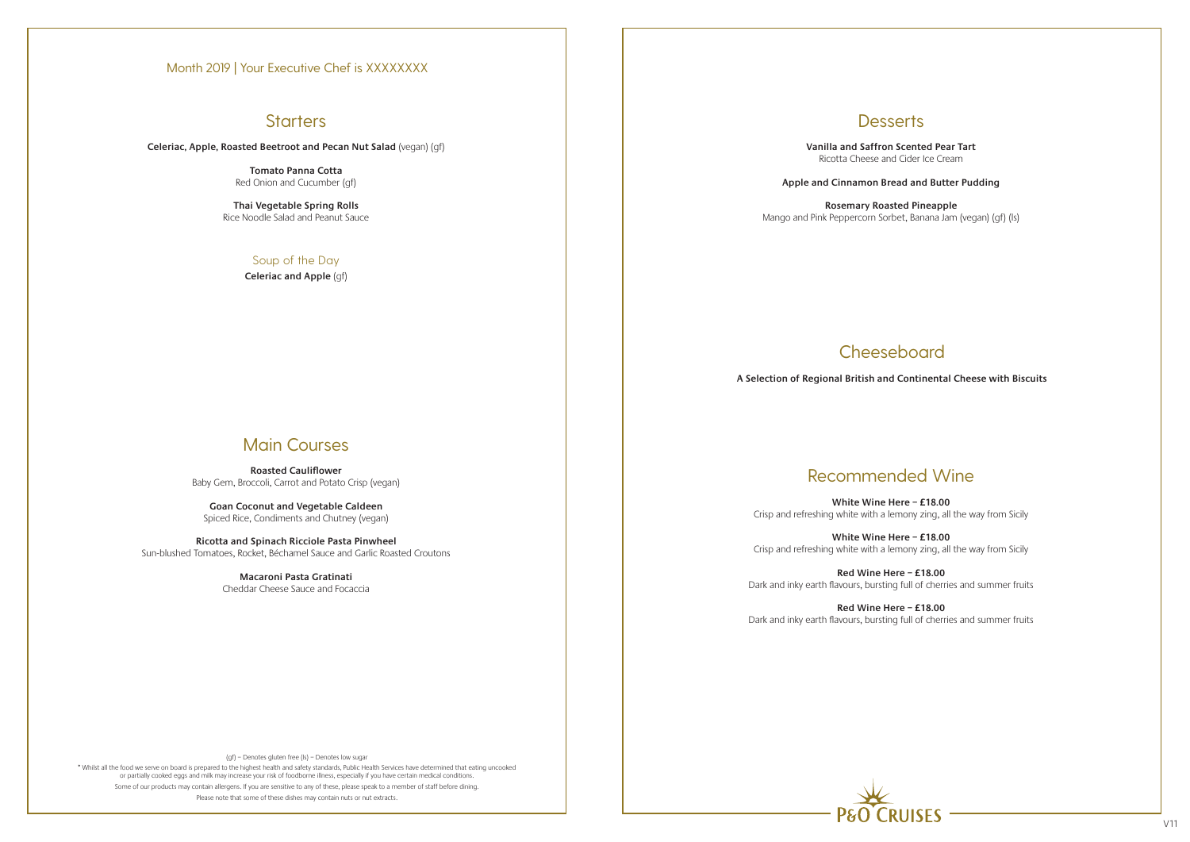# **Starters**

(gf) – Denotes gluten free (ls) – Denotes low sugar

\* Whilst all the food we serve on board is prepared to the highest health and safety standards, Public Health Services have determined that eating uncooked or partially cooked eggs and milk may increase your risk of foodborne illness, especially if you have certain medical conditions. Some of our products may contain allergens. If you are sensitive to any of these, please speak to a member of staff before dining. Please note that some of these dishes may contain nuts or nut extracts.



**Celeriac, Apple, Roasted Beetroot and Pecan Nut Salad** (vegan) (gf)

**Tomato Panna Cotta** Red Onion and Cucumber (gf)

**Thai Vegetable Spring Rolls** Rice Noodle Salad and Peanut Sauce

### Soup of the Day

**Celeriac and Apple** (gf)

# Main Courses

**Roasted Cauliflower** Baby Gem, Broccoli, Carrot and Potato Crisp (vegan)

**Goan Coconut and Vegetable Caldeen** Spiced Rice, Condiments and Chutney (vegan)

**Ricotta and Spinach Ricciole Pasta Pinwheel** Sun-blushed Tomatoes, Rocket, Béchamel Sauce and Garlic Roasted Croutons

> **Macaroni Pasta Gratinati** Cheddar Cheese Sauce and Focaccia

**Desserts** 

**Vanilla and Saffron Scented Pear Tart** Ricotta Cheese and Cider Ice Cream

**Apple and Cinnamon Bread and Butter Pudding**

**Rosemary Roasted Pineapple** Mango and Pink Peppercorn Sorbet, Banana Jam (vegan) (gf) (ls)

# Recommended Wine

**White Wine Here – £18.00** Crisp and refreshing white with a lemony zing, all the way from Sicily

**White Wine Here – £18.00** Crisp and refreshing white with a lemony zing, all the way from Sicily

**Red Wine Here – £18.00** Dark and inky earth flavours, bursting full of cherries and summer fruits

**Red Wine Here – £18.00** Dark and inky earth flavours, bursting full of cherries and summer fruits

# Cheeseboard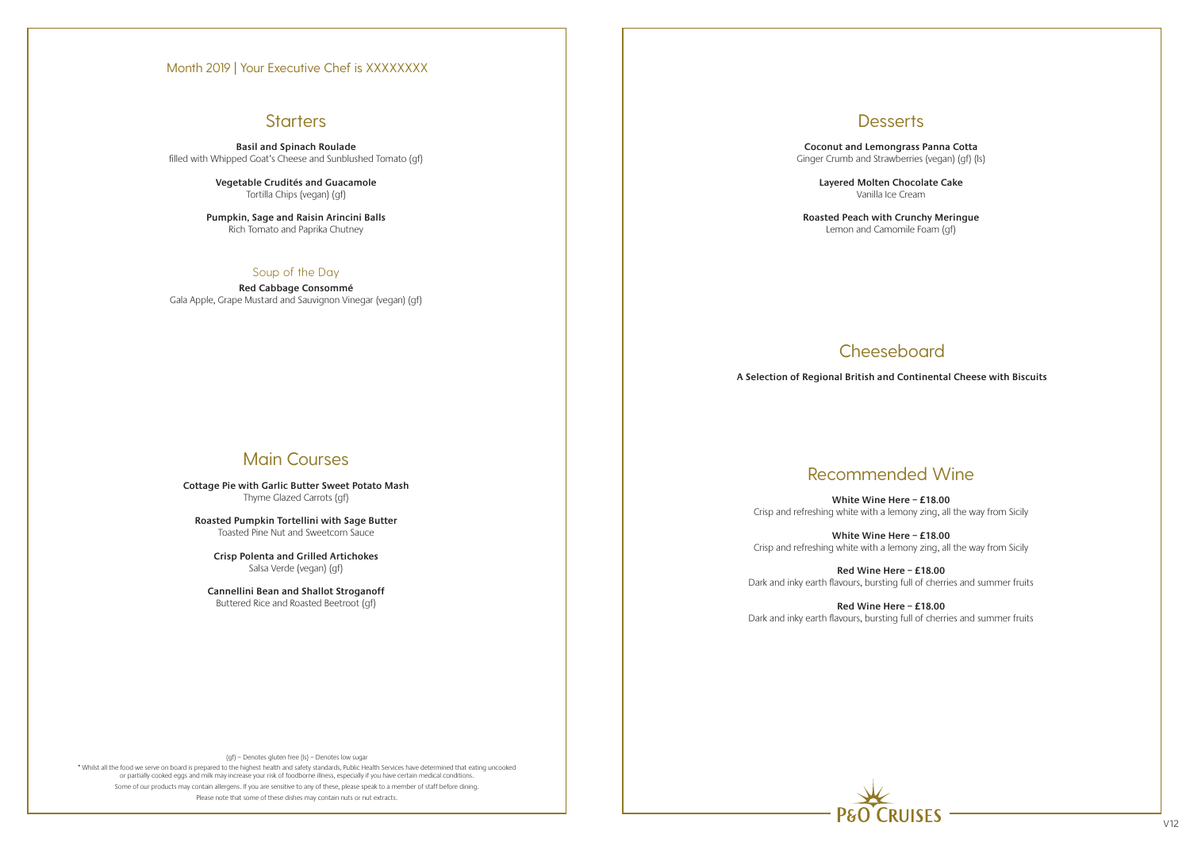\* Whilst all the food we serve on board is prepared to the highest health and safety standards, Public Health Services have determined that eating uncooked or partially cooked eggs and milk may increase your risk of foodborne illness, especially if you have certain medical conditions. Some of our products may contain allergens. If you are sensitive to any of these, please speak to a member of staff before dining. Please note that some of these dishes may contain nuts or nut extracts.



**Basil and Spinach Roulade** filled with Whipped Goat's Cheese and Sunblushed Tomato (gf)

> **Vegetable Crudités and Guacamole** Tortilla Chips (vegan) (gf)

**Pumpkin, Sage and Raisin Arincini Balls** Rich Tomato and Paprika Chutney

### Soup of the Day

**Red Cabbage Consommé** Gala Apple, Grape Mustard and Sauvignon Vinegar (vegan) (gf)

# Main Courses

**Cottage Pie with Garlic Butter Sweet Potato Mash** Thyme Glazed Carrots (gf)

**Roasted Pumpkin Tortellini with Sage Butter** Toasted Pine Nut and Sweetcorn Sauce

**Crisp Polenta and Grilled Artichokes** Salsa Verde (vegan) (gf)

**Cannellini Bean and Shallot Stroganoff** Buttered Rice and Roasted Beetroot (gf)

**Desserts** 

**Coconut and Lemongrass Panna Cotta** Ginger Crumb and Strawberries (vegan) (gf) (ls)

> **Layered Molten Chocolate Cake** Vanilla Ice Cream

**Roasted Peach with Crunchy Meringue** Lemon and Camomile Foam (gf)

# **Cheeseboard**

# Recommended Wine

**White Wine Here – £18.00** Crisp and refreshing white with a lemony zing, all the way from Sicily

**White Wine Here – £18.00** Crisp and refreshing white with a lemony zing, all the way from Sicily

**Red Wine Here – £18.00** Dark and inky earth flavours, bursting full of cherries and summer fruits

**Red Wine Here – £18.00** Dark and inky earth flavours, bursting full of cherries and summer fruits

**A Selection of Regional British and Continental Cheese with Biscuits**

### Month 2019 | Your Executive Chef is XXXXXXXX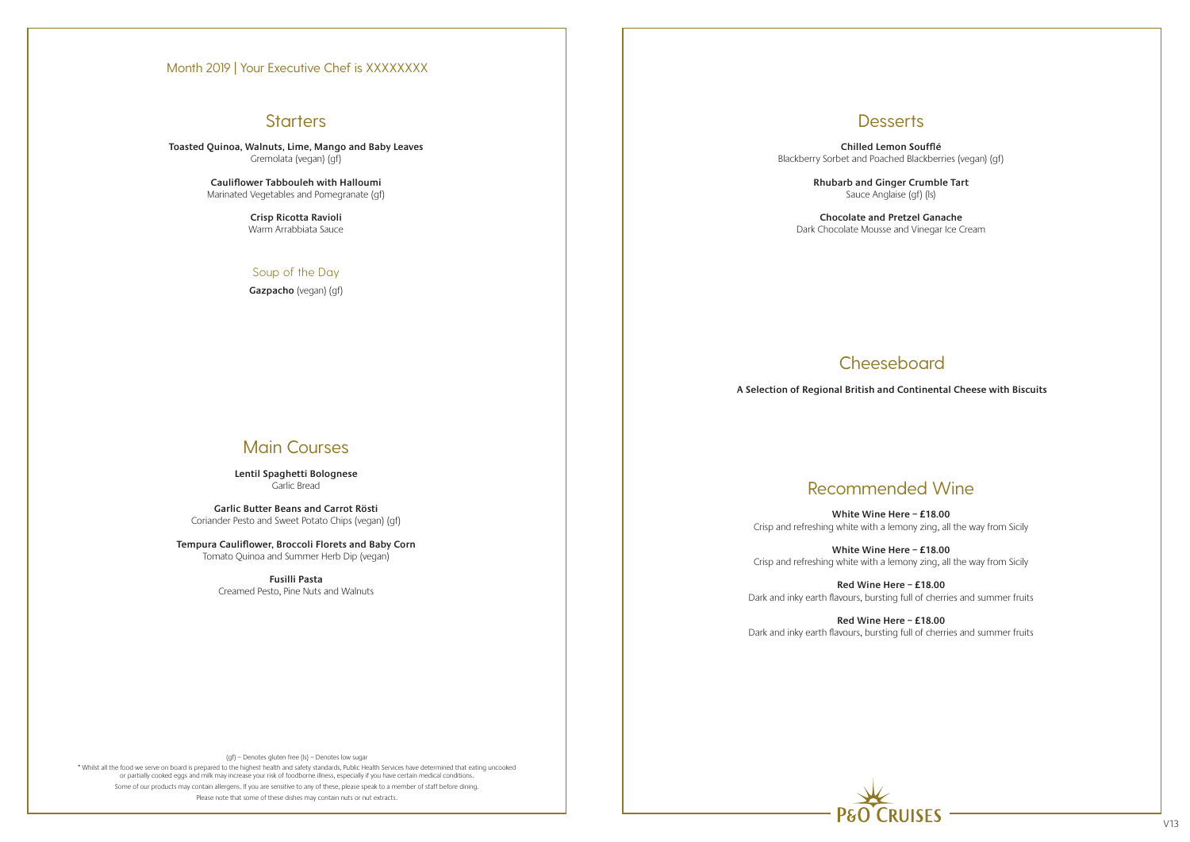\* Whilst all the food we serve on board is prepared to the highest health and safety standards, Public Health Services have determined that eating uncooked or partially cooked eggs and milk may increase your risk of foodborne illness, especially if you have certain medical conditions. Some of our products may contain allergens. If you are sensitive to any of these, please speak to a member of staff before dining. Please note that some of these dishes may contain nuts or nut extracts.



**Toasted Quinoa, Walnuts, Lime, Mango and Baby Leaves** Gremolata (vegan) (gf)

> **Cauliflower Tabbouleh with Halloumi** Marinated Vegetables and Pomegranate (gf)

> > **Crisp Ricotta Ravioli** Warm Arrabbiata Sauce

### Soup of the Day

**Gazpacho** (vegan) (gf)

# Main Courses

**Lentil Spaghetti Bolognese** Garlic Bread

**Garlic Butter Beans and Carrot Rösti** Coriander Pesto and Sweet Potato Chips (vegan) (gf)

**Tempura Cauliflower, Broccoli Florets and Baby Corn** Tomato Quinoa and Summer Herb Dip (vegan)

> **Fusilli Pasta** Creamed Pesto, Pine Nuts and Walnuts

## **Desserts**

**Chilled Lemon Soufflé** Blackberry Sorbet and Poached Blackberries (vegan) (gf)

> **Rhubarb and Ginger Crumble Tart** Sauce Anglaise (gf) (ls)

**Chocolate and Pretzel Ganache** Dark Chocolate Mousse and Vinegar Ice Cream

# Recommended Wine

**White Wine Here – £18.00** Crisp and refreshing white with a lemony zing, all the way from Sicily

**White Wine Here – £18.00** Crisp and refreshing white with a lemony zing, all the way from Sicily

**Red Wine Here – £18.00** Dark and inky earth flavours, bursting full of cherries and summer fruits

**Red Wine Here – £18.00** Dark and inky earth flavours, bursting full of cherries and summer fruits

# Cheeseboard

**A Selection of Regional British and Continental Cheese with Biscuits**

### Month 2019 | Your Executive Chef is XXXXXXXX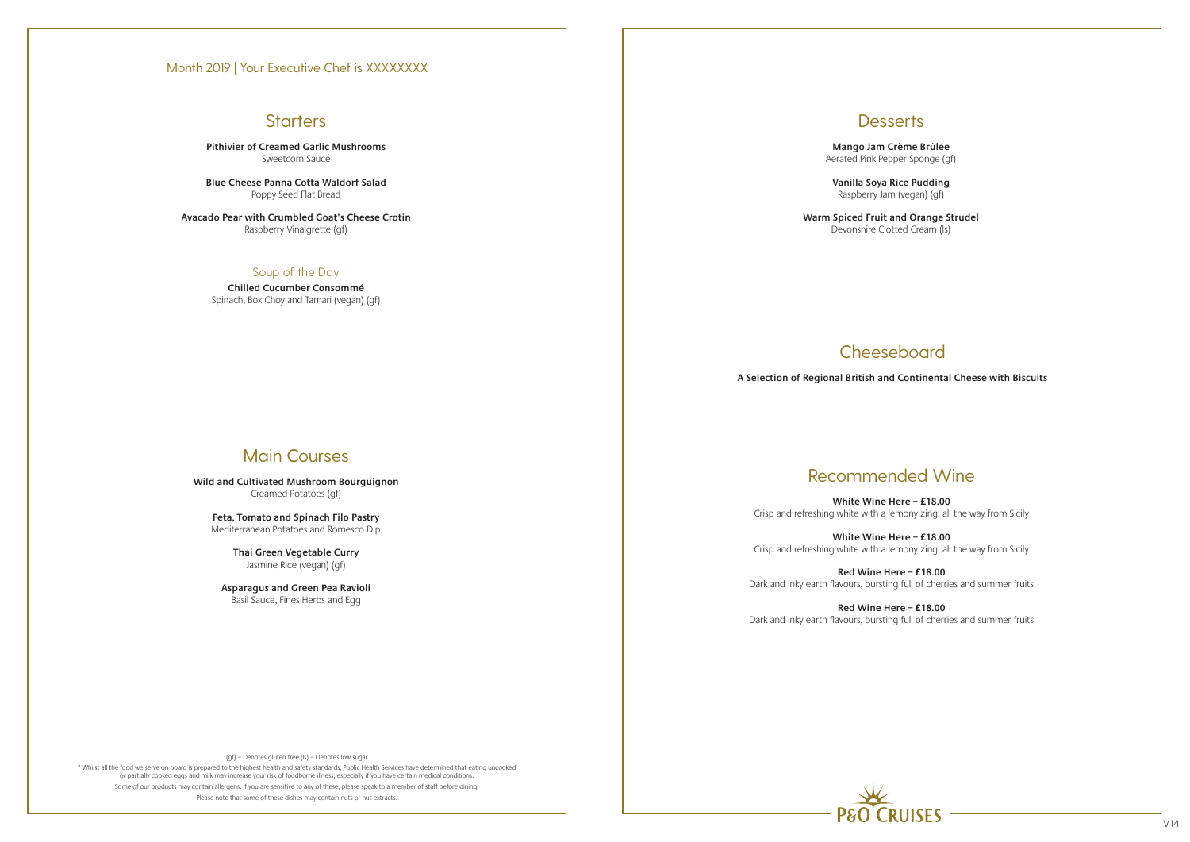# **Starters**

(gf) – Denotes gluten free (ls) – Denotes low sugar

\* Whilst all the food we serve on board is prepared to the highest health and safety standards, Public Health Services have determined that eating uncooked or partially cooked eggs and milk may increase your risk of foodborne illness, especially if you have certain medical conditions. Some of our products may contain allergens. If you are sensitive to any of these, please speak to a member of staff before dining. Please note that some of these dishes may contain nuts or nut extracts.



**Pithivier of Creamed Garlic Mushrooms** Sweetcorn Sauce

**Blue Cheese Panna Cotta Waldorf Salad** Poppy Seed Flat Bread

**Avacado Pear with Crumbled Goat's Cheese Crotin** Raspberry Vinaigrette (gf)

### Soup of the Day

**Chilled Cucumber Consommé** Spinach, Bok Choy and Tamari (vegan) (gf)

# Main Courses

**Wild and Cultivated Mushroom Bourguignon** Creamed Potatoes (gf)

**Feta, Tomato and Spinach Filo Pastry** Mediterranean Potatoes and Romesco Dip

> **Thai Green Vegetable Curry** Jasmine Rice (vegan) (gf)

**Asparagus and Green Pea Ravioli** Basil Sauce, Fines Herbs and Egg

## **Desserts**

**Mango Jam Crème Brûlée**  Aerated Pink Pepper Sponge (gf)

**Vanilla Soya Rice Pudding** Raspberry Jam (vegan) (gf)

**Warm Spiced Fruit and Orange Strudel** Devonshire Clotted Cream (ls)

# Recommended Wine

**White Wine Here – £18.00** Crisp and refreshing white with a lemony zing, all the way from Sicily

**White Wine Here – £18.00** Crisp and refreshing white with a lemony zing, all the way from Sicily

**Red Wine Here – £18.00** Dark and inky earth flavours, bursting full of cherries and summer fruits

**Red Wine Here – £18.00** Dark and inky earth flavours, bursting full of cherries and summer fruits

# Cheeseboard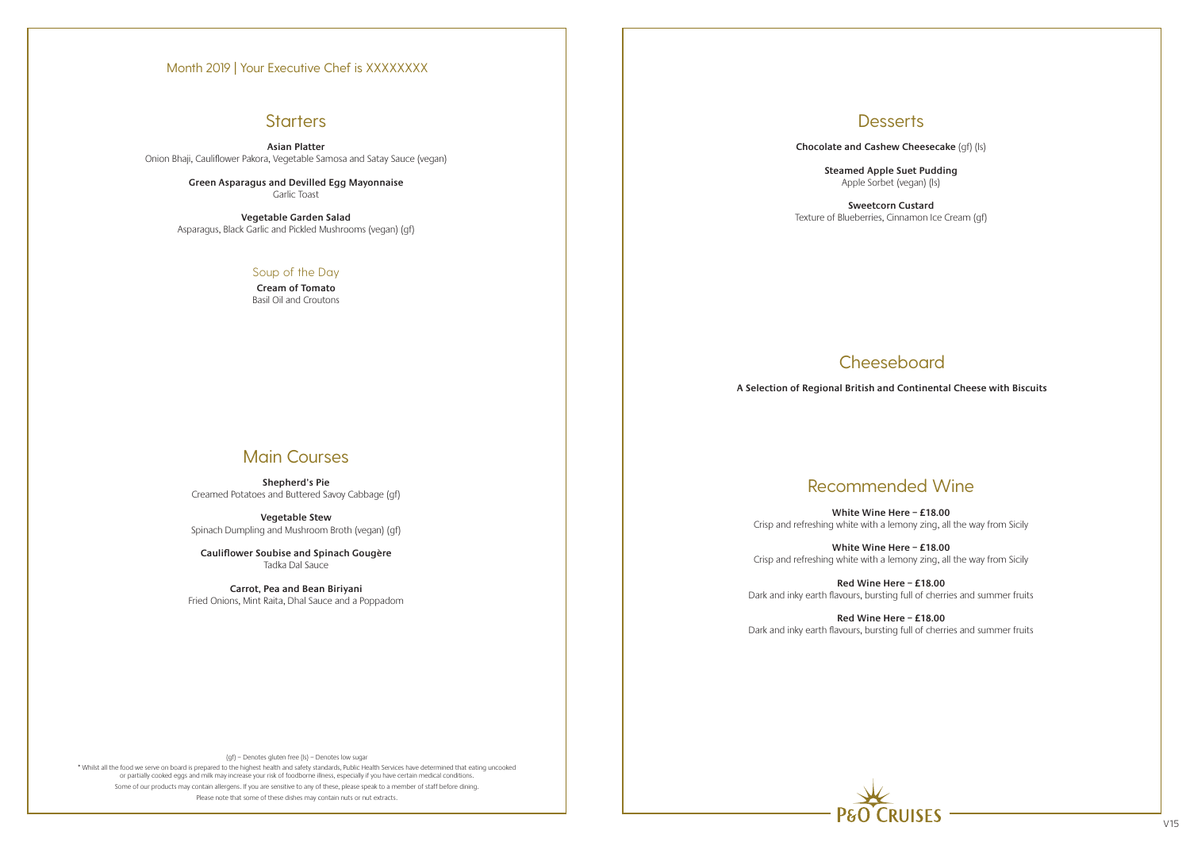# **Starters**

(gf) – Denotes gluten free (ls) – Denotes low sugar

\* Whilst all the food we serve on board is prepared to the highest health and safety standards, Public Health Services have determined that eating uncooked or partially cooked eggs and milk may increase your risk of foodborne illness, especially if you have certain medical conditions. Some of our products may contain allergens. If you are sensitive to any of these, please speak to a member of staff before dining. Please note that some of these dishes may contain nuts or nut extracts.

**Asian Platter** Onion Bhaji, Cauliflower Pakora, Vegetable Samosa and Satay Sauce (vegan)

> **Green Asparagus and Devilled Egg Mayonnaise** Garlic Toast

**Vegetable Garden Salad** Asparagus, Black Garlic and Pickled Mushrooms (vegan) (gf)

### Soup of the Day

**Cream of Tomato** Basil Oil and Croutons

# Main Courses

**Shepherd's Pie** Creamed Potatoes and Buttered Savoy Cabbage (gf)

**Vegetable Stew** Spinach Dumpling and Mushroom Broth (vegan) (gf)

**Cauliflower Soubise and Spinach Gougère** Tadka Dal Sauce

**Carrot, Pea and Bean Biriyani** Fried Onions, Mint Raita, Dhal Sauce and a Poppadom **Desserts** 

**Chocolate and Cashew Cheesecake** (gf) (ls)

**Steamed Apple Suet Pudding**



Apple Sorbet (vegan) (ls)

**Sweetcorn Custard** Texture of Blueberries, Cinnamon Ice Cream (gf)

# **Cheeseboard**

# Recommended Wine

**White Wine Here – £18.00** Crisp and refreshing white with a lemony zing, all the way from Sicily

**White Wine Here – £18.00** Crisp and refreshing white with a lemony zing, all the way from Sicily

**Red Wine Here – £18.00** Dark and inky earth flavours, bursting full of cherries and summer fruits

**Red Wine Here – £18.00** Dark and inky earth flavours, bursting full of cherries and summer fruits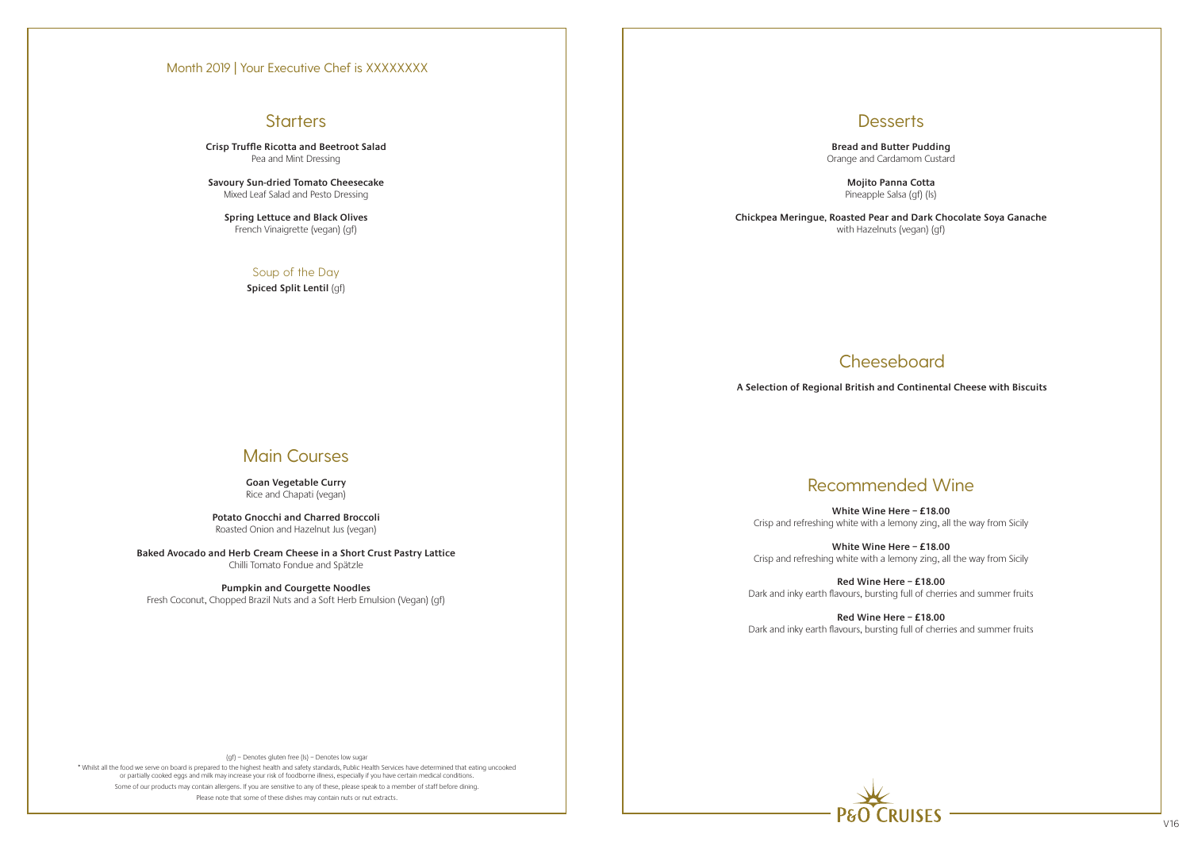\* Whilst all the food we serve on board is prepared to the highest health and safety standards, Public Health Services have determined that eating uncooked or partially cooked eggs and milk may increase your risk of foodborne illness, especially if you have certain medical conditions. Some of our products may contain allergens. If you are sensitive to any of these, please speak to a member of staff before dining. Please note that some of these dishes may contain nuts or nut extracts.

## **Desserts**

**Crisp Truffle Ricotta and Beetroot Salad** Pea and Mint Dressing

**Savoury Sun-dried Tomato Cheesecake** Mixed Leaf Salad and Pesto Dressing

**Spring Lettuce and Black Olives** French Vinaigrette (vegan) (gf)

### Soup of the Day

**Spiced Split Lentil** (gf)

# Main Courses

**Goan Vegetable Curry** Rice and Chapati (vegan)

**Potato Gnocchi and Charred Broccoli** Roasted Onion and Hazelnut Jus (vegan)

**Baked Avocado and Herb Cream Cheese in a Short Crust Pastry Lattice** Chilli Tomato Fondue and Spätzle

**Pumpkin and Courgette Noodles**

Fresh Coconut, Chopped Brazil Nuts and a Soft Herb Emulsion (Vegan) (gf)

**Bread and Butter Pudding** Orange and Cardamom Custard

> **Mojito Panna Cotta** Pineapple Salsa (gf) (ls)

**Chickpea Meringue, Roasted Pear and Dark Chocolate Soya Ganache** with Hazelnuts (vegan) (gf)

# **Cheeseboard**

# Recommended Wine

**White Wine Here – £18.00** Crisp and refreshing white with a lemony zing, all the way from Sicily

**White Wine Here – £18.00** Crisp and refreshing white with a lemony zing, all the way from Sicily

**Red Wine Here – £18.00** Dark and inky earth flavours, bursting full of cherries and summer fruits

**Red Wine Here – £18.00** Dark and inky earth flavours, bursting full of cherries and summer fruits



**A Selection of Regional British and Continental Cheese with Biscuits**

### Month 2019 | Your Executive Chef is XXXXXXXX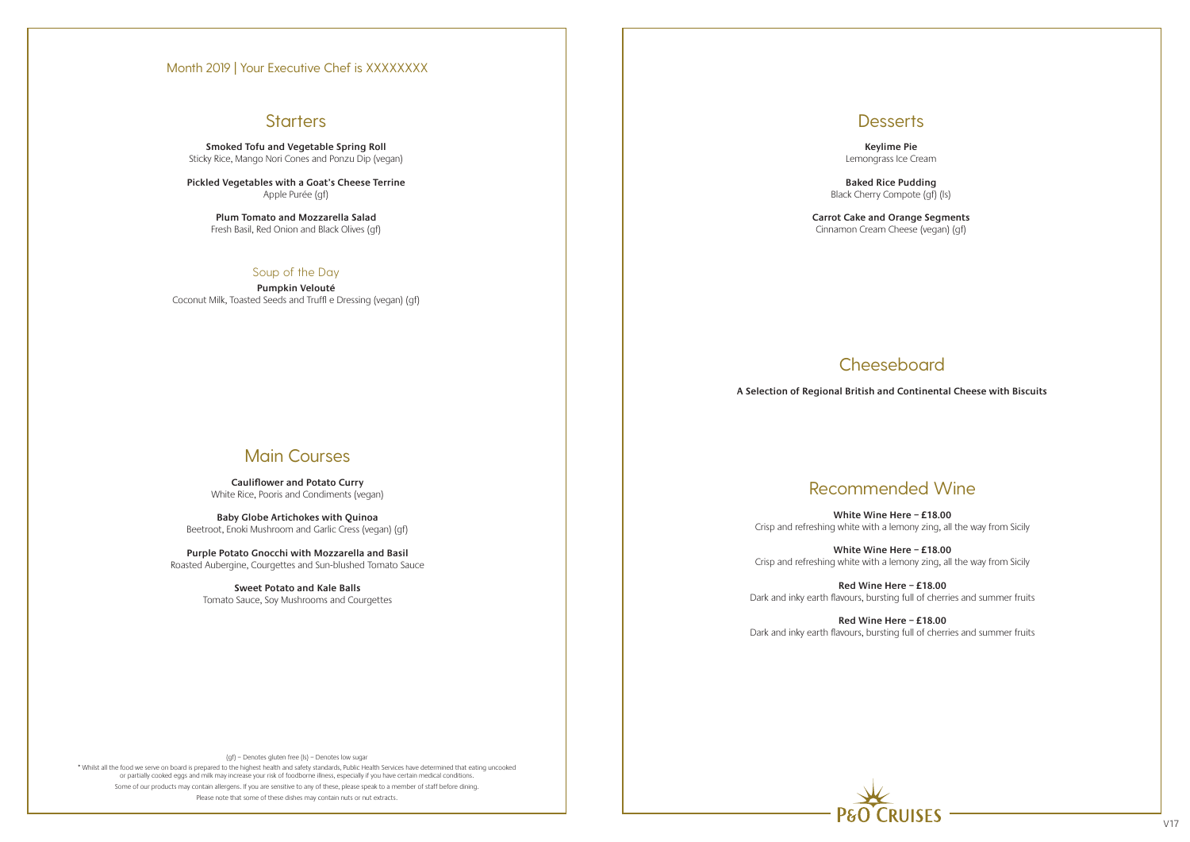## **Starters**

(gf) – Denotes gluten free (ls) – Denotes low sugar

\* Whilst all the food we serve on board is prepared to the highest health and safety standards, Public Health Services have determined that eating uncooked or partially cooked eggs and milk may increase your risk of foodborne illness, especially if you have certain medical conditions. Some of our products may contain allergens. If you are sensitive to any of these, please speak to a member of staff before dining. Please note that some of these dishes may contain nuts or nut extracts.



**Smoked Tofu and Vegetable Spring Roll** Sticky Rice, Mango Nori Cones and Ponzu Dip (vegan)

**Pickled Vegetables with a Goat's Cheese Terrine** Apple Purée (gf)

> **Plum Tomato and Mozzarella Salad** Fresh Basil, Red Onion and Black Olives (gf)

### Soup of the Day

**Pumpkin Velouté** Coconut Milk, Toasted Seeds and Truffl e Dressing (vegan) (gf)

# Main Courses

**Cauliflower and Potato Curry** White Rice, Pooris and Condiments (vegan)

**Baby Globe Artichokes with Quinoa** Beetroot, Enoki Mushroom and Garlic Cress (vegan) (gf)

**Purple Potato Gnocchi with Mozzarella and Basil** Roasted Aubergine, Courgettes and Sun-blushed Tomato Sauce

> **Sweet Potato and Kale Balls** Tomato Sauce, Soy Mushrooms and Courgettes



**Keylime Pie** Lemongrass Ice Cream

**Baked Rice Pudding** Black Cherry Compote (gf) (ls)

**Carrot Cake and Orange Segments** Cinnamon Cream Cheese (vegan) (gf)

# **Cheeseboard**

# Recommended Wine

**White Wine Here – £18.00** Crisp and refreshing white with a lemony zing, all the way from Sicily

**White Wine Here – £18.00** Crisp and refreshing white with a lemony zing, all the way from Sicily

**Red Wine Here – £18.00** Dark and inky earth flavours, bursting full of cherries and summer fruits

**Red Wine Here – £18.00** Dark and inky earth flavours, bursting full of cherries and summer fruits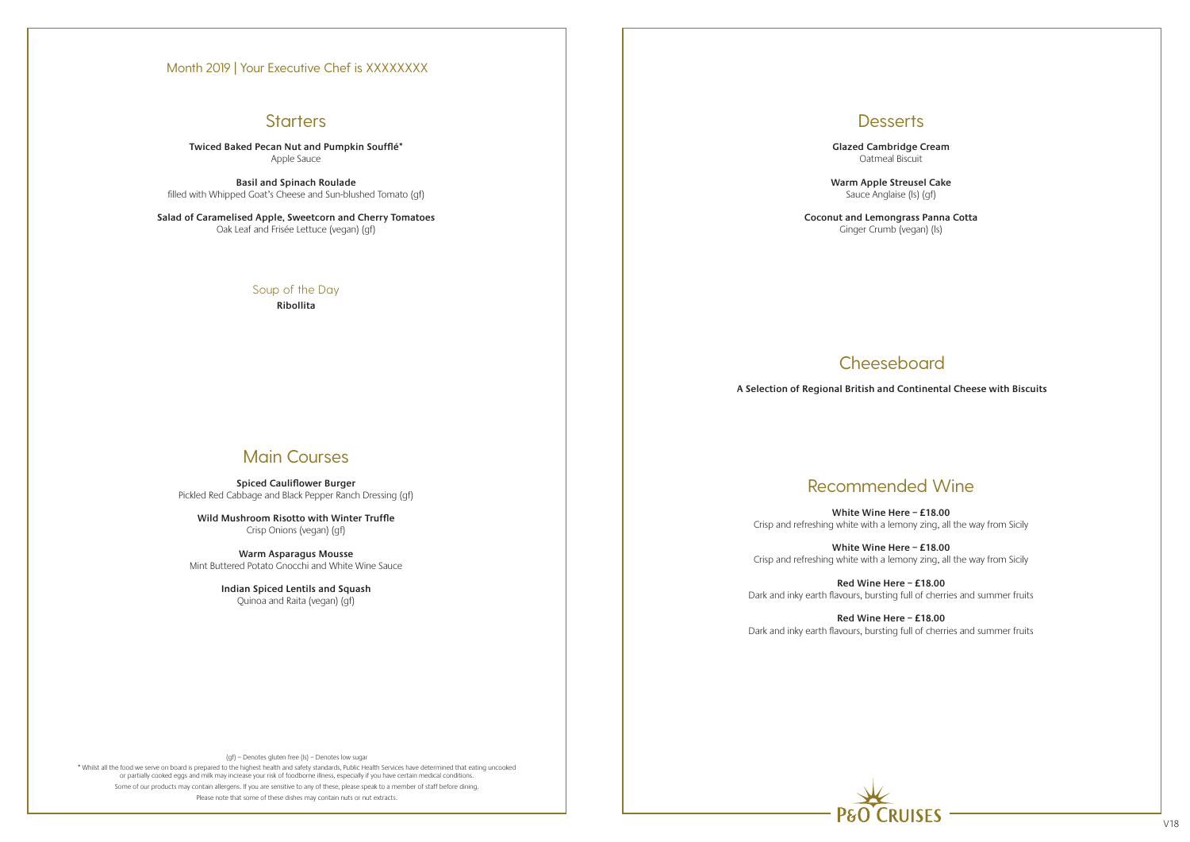\* Whilst all the food we serve on board is prepared to the highest health and safety standards, Public Health Services have determined that eating uncooked or partially cooked eggs and milk may increase your risk of foodborne illness, especially if you have certain medical conditions. Some of our products may contain allergens. If you are sensitive to any of these, please speak to a member of staff before dining. Please note that some of these dishes may contain nuts or nut extracts.



**Twiced Baked Pecan Nut and Pumpkin Soufflé\*** Apple Sauce

**Basil and Spinach Roulade** filled with Whipped Goat's Cheese and Sun-blushed Tomato (gf)

**Salad of Caramelised Apple, Sweetcorn and Cherry Tomatoes** Oak Leaf and Frisée Lettuce (vegan) (gf)

### Soup of the Day **Ribollita**

# Main Courses

**Spiced Cauliflower Burger** Pickled Red Cabbage and Black Pepper Ranch Dressing (gf)

**Wild Mushroom Risotto with Winter Truffle** Crisp Onions (vegan) (gf)

**Warm Asparagus Mousse** Mint Buttered Potato Gnocchi and White Wine Sauce

> **Indian Spiced Lentils and Squash** Quinoa and Raita (vegan) (gf)

**Desserts** 

**Glazed Cambridge Cream** Oatmeal Biscuit

**Warm Apple Streusel Cake** Sauce Anglaise (ls) (gf)

**Coconut and Lemongrass Panna Cotta** Ginger Crumb (vegan) (ls)

# **Cheeseboard**

# Recommended Wine

**White Wine Here – £18.00** Crisp and refreshing white with a lemony zing, all the way from Sicily

**White Wine Here – £18.00** Crisp and refreshing white with a lemony zing, all the way from Sicily

**Red Wine Here – £18.00** Dark and inky earth flavours, bursting full of cherries and summer fruits

**Red Wine Here – £18.00** Dark and inky earth flavours, bursting full of cherries and summer fruits

**A Selection of Regional British and Continental Cheese with Biscuits**

### Month 2019 | Your Executive Chef is XXXXXXXX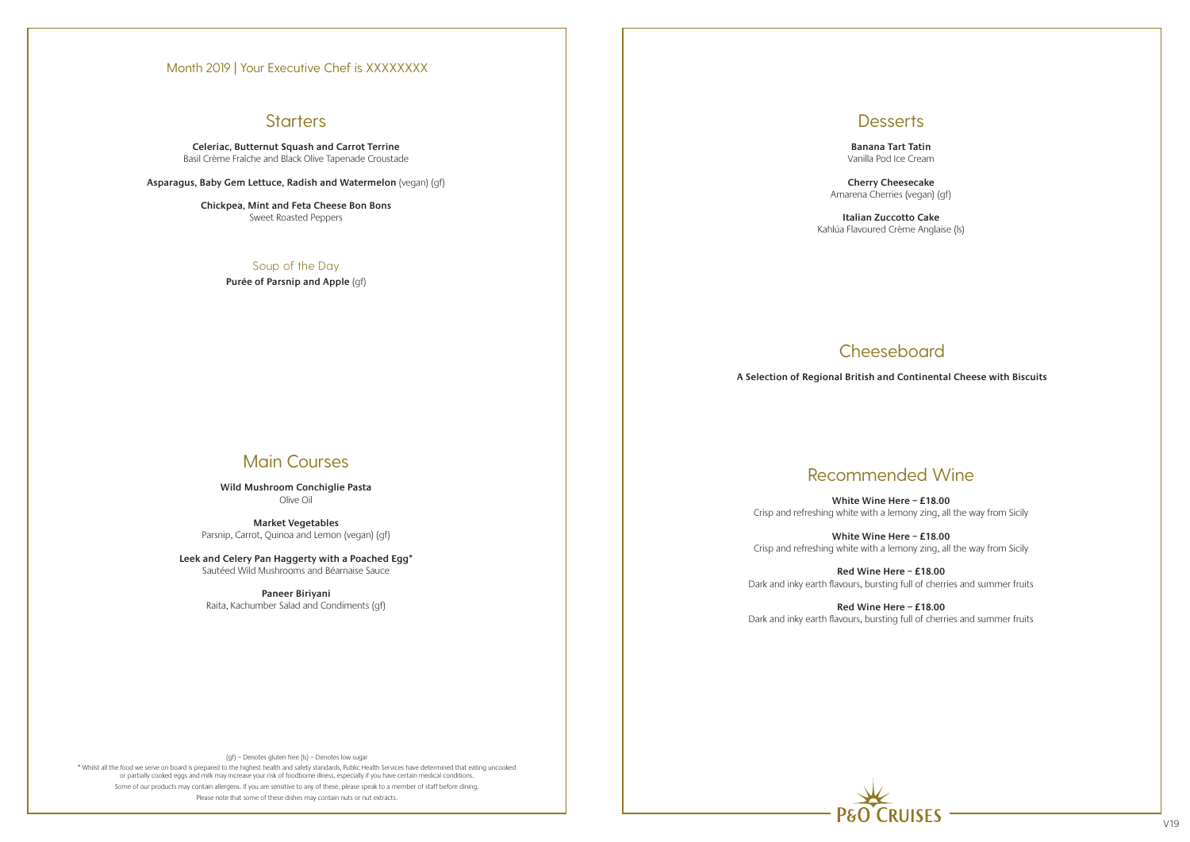\* Whilst all the food we serve on board is prepared to the highest health and safety standards, Public Health Services have determined that eating uncooked or partially cooked eggs and milk may increase your risk of foodborne illness, especially if you have certain medical conditions. Some of our products may contain allergens. If you are sensitive to any of these, please speak to a member of staff before dining. Please note that some of these dishes may contain nuts or nut extracts.

## **Desserts**

**Celeriac, Butternut Squash and Carrot Terrine** Basil Crème Fraîche and Black Olive Tapenade Croustade

**Asparagus, Baby Gem Lettuce, Radish and Watermelon** (vegan) (gf)

**Chickpea, Mint and Feta Cheese Bon Bons** Sweet Roasted Peppers

> Soup of the Day **Purée of Parsnip and Apple** (gf)

# Main Courses

**Wild Mushroom Conchiglie Pasta** Olive Oil

**Market Vegetables** Parsnip, Carrot, Quinoa and Lemon (vegan) (gf)

**Leek and Celery Pan Haggerty with a Poached Egg\*** Sautéed Wild Mushrooms and Béarnaise Sauce

> **Paneer Biriyani**  Raita, Kachumber Salad and Condiments (gf)

**Banana Tart Tatin** Vanilla Pod Ice Cream

**Cherry Cheesecake** Amarena Cherries (vegan) (gf)

**Italian Zuccotto Cake** Kahlúa Flavoured Crème Anglaise (ls)

# Recommended Wine

**White Wine Here – £18.00** Crisp and refreshing white with a lemony zing, all the way from Sicily

**White Wine Here – £18.00** Crisp and refreshing white with a lemony zing, all the way from Sicily

**Red Wine Here – £18.00** Dark and inky earth flavours, bursting full of cherries and summer fruits

**Red Wine Here – £18.00** Dark and inky earth flavours, bursting full of cherries and summer fruits



# **CRIJISES**

# Cheeseboard

**A Selection of Regional British and Continental Cheese with Biscuits**

### Month 2019 | Your Executive Chef is XXXXXXXX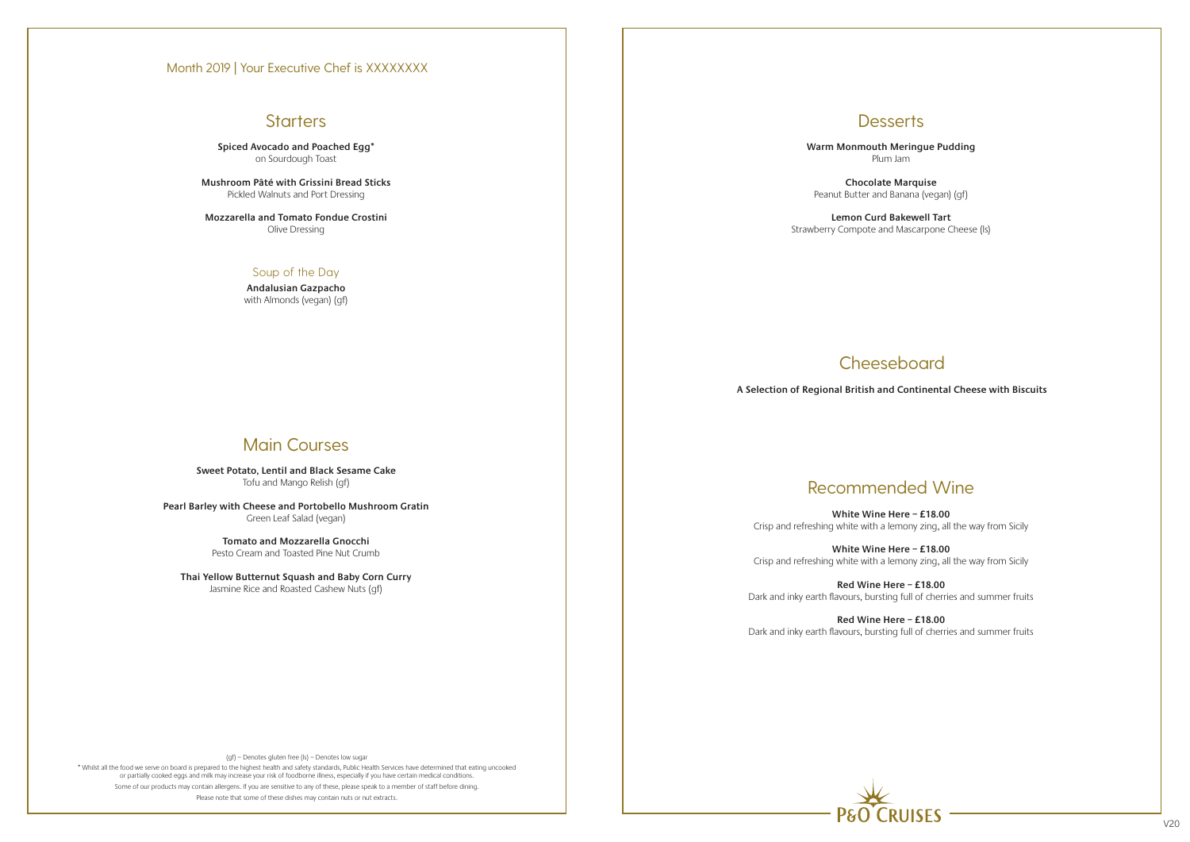# **Starters**

(gf) – Denotes gluten free (ls) – Denotes low sugar

\* Whilst all the food we serve on board is prepared to the highest health and safety standards, Public Health Services have determined that eating uncooked or partially cooked eggs and milk may increase your risk of foodborne illness, especially if you have certain medical conditions. Some of our products may contain allergens. If you are sensitive to any of these, please speak to a member of staff before dining. Please note that some of these dishes may contain nuts or nut extracts.



**Spiced Avocado and Poached Egg\***  on Sourdough Toast

**Mushroom Pâté with Grissini Bread Sticks** Pickled Walnuts and Port Dressing

**Mozzarella and Tomato Fondue Crostini** Olive Dressing

### Soup of the Day

**Andalusian Gazpacho** with Almonds (vegan) (gf)

# Main Courses

**Sweet Potato, Lentil and Black Sesame Cake** Tofu and Mango Relish (gf)

**Pearl Barley with Cheese and Portobello Mushroom Gratin** Green Leaf Salad (vegan)

> **Tomato and Mozzarella Gnocchi** Pesto Cream and Toasted Pine Nut Crumb

**Thai Yellow Butternut Squash and Baby Corn Curry** Jasmine Rice and Roasted Cashew Nuts (gf)

**Desserts** 

**Warm Monmouth Meringue Pudding** Plum Jam

**Chocolate Marquise** Peanut Butter and Banana (vegan) (gf)

**Lemon Curd Bakewell Tart** Strawberry Compote and Mascarpone Cheese (ls)

# Recommended Wine

**White Wine Here – £18.00** Crisp and refreshing white with a lemony zing, all the way from Sicily

**White Wine Here – £18.00** Crisp and refreshing white with a lemony zing, all the way from Sicily

**Red Wine Here – £18.00** Dark and inky earth flavours, bursting full of cherries and summer fruits

**Red Wine Here – £18.00** Dark and inky earth flavours, bursting full of cherries and summer fruits

# Cheeseboard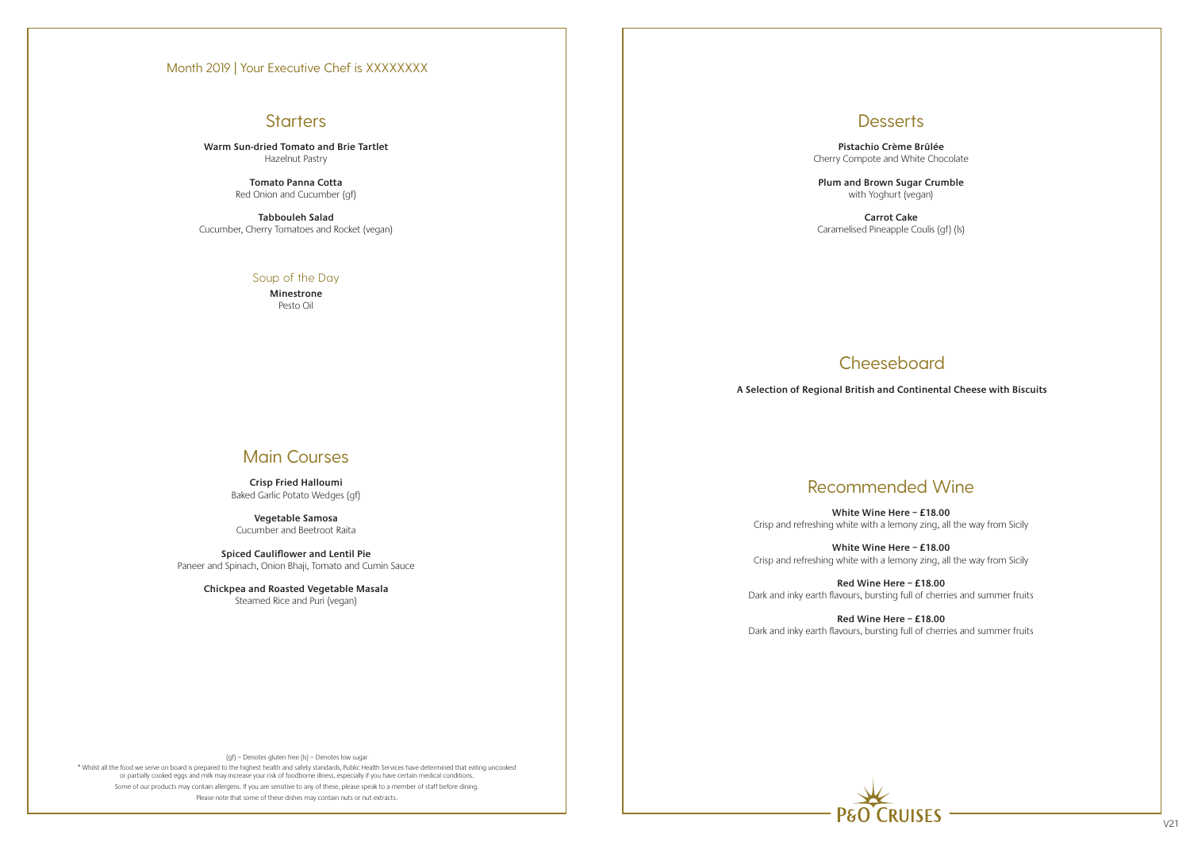# **Starters**

(gf) – Denotes gluten free (ls) – Denotes low sugar

\* Whilst all the food we serve on board is prepared to the highest health and safety standards, Public Health Services have determined that eating uncooked or partially cooked eggs and milk may increase your risk of foodborne illness, especially if you have certain medical conditions. Some of our products may contain allergens. If you are sensitive to any of these, please speak to a member of staff before dining. Please note that some of these dishes may contain nuts or nut extracts.



**Warm Sun-dried Tomato and Brie Tartlet** Hazelnut Pastry

> **Tomato Panna Cotta** Red Onion and Cucumber (gf)

**Tabbouleh Salad** Cucumber, Cherry Tomatoes and Rocket (vegan)

### Soup of the Day

**Minestrone** Pesto Oil

# Main Courses

**Crisp Fried Halloumi** Baked Garlic Potato Wedges (gf)

**Vegetable Samosa** Cucumber and Beetroot Raita

**Spiced Cauliflower and Lentil Pie** Paneer and Spinach, Onion Bhaji, Tomato and Cumin Sauce

> **Chickpea and Roasted Vegetable Masala**  Steamed Rice and Puri (vegan)

## **Desserts**

**Pistachio Crème Brûlée**  Cherry Compote and White Chocolate

**Plum and Brown Sugar Crumble** with Yoghurt (vegan)

**Carrot Cake** Caramelised Pineapple Coulis (gf) (ls)

# **Cheeseboard**

# Recommended Wine

**White Wine Here – £18.00** Crisp and refreshing white with a lemony zing, all the way from Sicily

**White Wine Here – £18.00** Crisp and refreshing white with a lemony zing, all the way from Sicily

**Red Wine Here – £18.00** Dark and inky earth flavours, bursting full of cherries and summer fruits

**Red Wine Here – £18.00** Dark and inky earth flavours, bursting full of cherries and summer fruits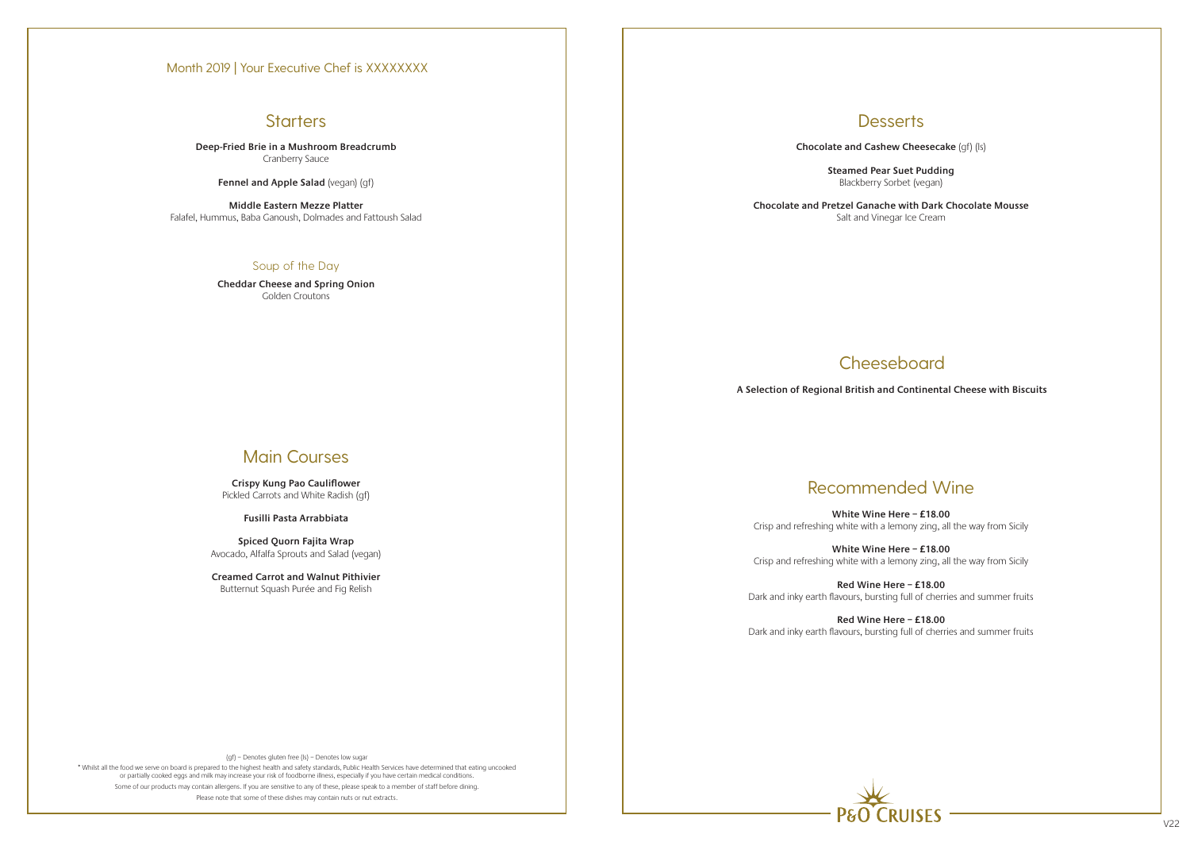## **Starters**

(gf) – Denotes gluten free (ls) – Denotes low sugar

\* Whilst all the food we serve on board is prepared to the highest health and safety standards, Public Health Services have determined that eating uncooked or partially cooked eggs and milk may increase your risk of foodborne illness, especially if you have certain medical conditions. Some of our products may contain allergens. If you are sensitive to any of these, please speak to a member of staff before dining. Please note that some of these dishes may contain nuts or nut extracts.

**Deep-Fried Brie in a Mushroom Breadcrumb** Cranberry Sauce

**Fennel and Apple Salad** (vegan) (gf)

**Middle Eastern Mezze Platter** Falafel, Hummus, Baba Ganoush, Dolmades and Fattoush Salad

### Soup of the Day

**Cheddar Cheese and Spring Onion** Golden Croutons

# Main Courses

**Crispy Kung Pao Cauliflower** Pickled Carrots and White Radish (gf)

**Fusilli Pasta Arrabbiata**

**Spiced Quorn Fajita Wrap** Avocado, Alfalfa Sprouts and Salad (vegan)

**Creamed Carrot and Walnut Pithivier** Butternut Squash Purée and Fig Relish

## **Desserts**

**Chocolate and Cashew Cheesecake** (gf) (ls)



**Steamed Pear Suet Pudding** Blackberry Sorbet (vegan)

**Chocolate and Pretzel Ganache with Dark Chocolate Mousse** Salt and Vinegar Ice Cream

# **Cheeseboard**

# Recommended Wine

**White Wine Here – £18.00** Crisp and refreshing white with a lemony zing, all the way from Sicily

**White Wine Here – £18.00** Crisp and refreshing white with a lemony zing, all the way from Sicily

**Red Wine Here – £18.00** Dark and inky earth flavours, bursting full of cherries and summer fruits

**Red Wine Here – £18.00** Dark and inky earth flavours, bursting full of cherries and summer fruits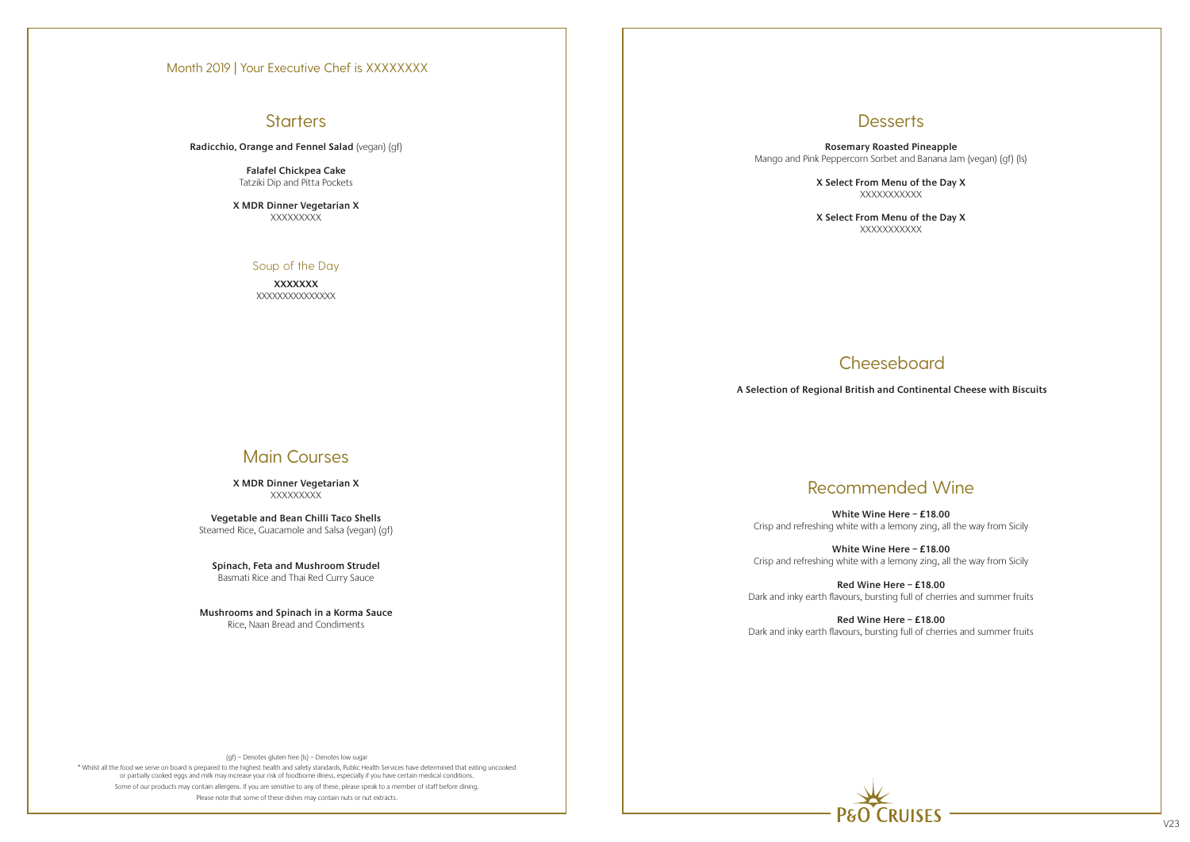# **Starters**

(gf) – Denotes gluten free (ls) – Denotes low sugar

\* Whilst all the food we serve on board is prepared to the highest health and safety standards, Public Health Services have determined that eating uncooked or partially cooked eggs and milk may increase your risk of foodborne illness, especially if you have certain medical conditions. Some of our products may contain allergens. If you are sensitive to any of these, please speak to a member of staff before dining. Please note that some of these dishes may contain nuts or nut extracts.

**X MDR Dinner Vegetarian X XXXXXXXX** 

**X MDR Dinner Vegetarian X XXXXXXXXX** 

**Radicchio, Orange and Fennel Salad** (vegan) (gf)

**Falafel Chickpea Cake** Tatziki Dip and Pitta Pockets

### Soup of the Day

**XXXXXXX** XXXXXXXXXXXXXXX

# Main Courses

**Vegetable and Bean Chilli Taco Shells** Steamed Rice, Guacamole and Salsa (vegan) (gf)

**Spinach, Feta and Mushroom Strudel** Basmati Rice and Thai Red Curry Sauce

**Mushrooms and Spinach in a Korma Sauce** Rice, Naan Bread and Condiments

**Desserts** 

**Rosemary Roasted Pineapple** Mango and Pink Peppercorn Sorbet and Banana Jam (vegan) (gf) (ls)

> **X Select From Menu of the Day X** XXXXXXXXXXX

**XXXXXXXXXX** 

# **Cheeseboard**

**X Select From Menu of the Day X**



# Recommended Wine

**White Wine Here – £18.00** Crisp and refreshing white with a lemony zing, all the way from Sicily

**White Wine Here – £18.00** Crisp and refreshing white with a lemony zing, all the way from Sicily

**Red Wine Here – £18.00** Dark and inky earth flavours, bursting full of cherries and summer fruits

**Red Wine Here – £18.00** Dark and inky earth flavours, bursting full of cherries and summer fruits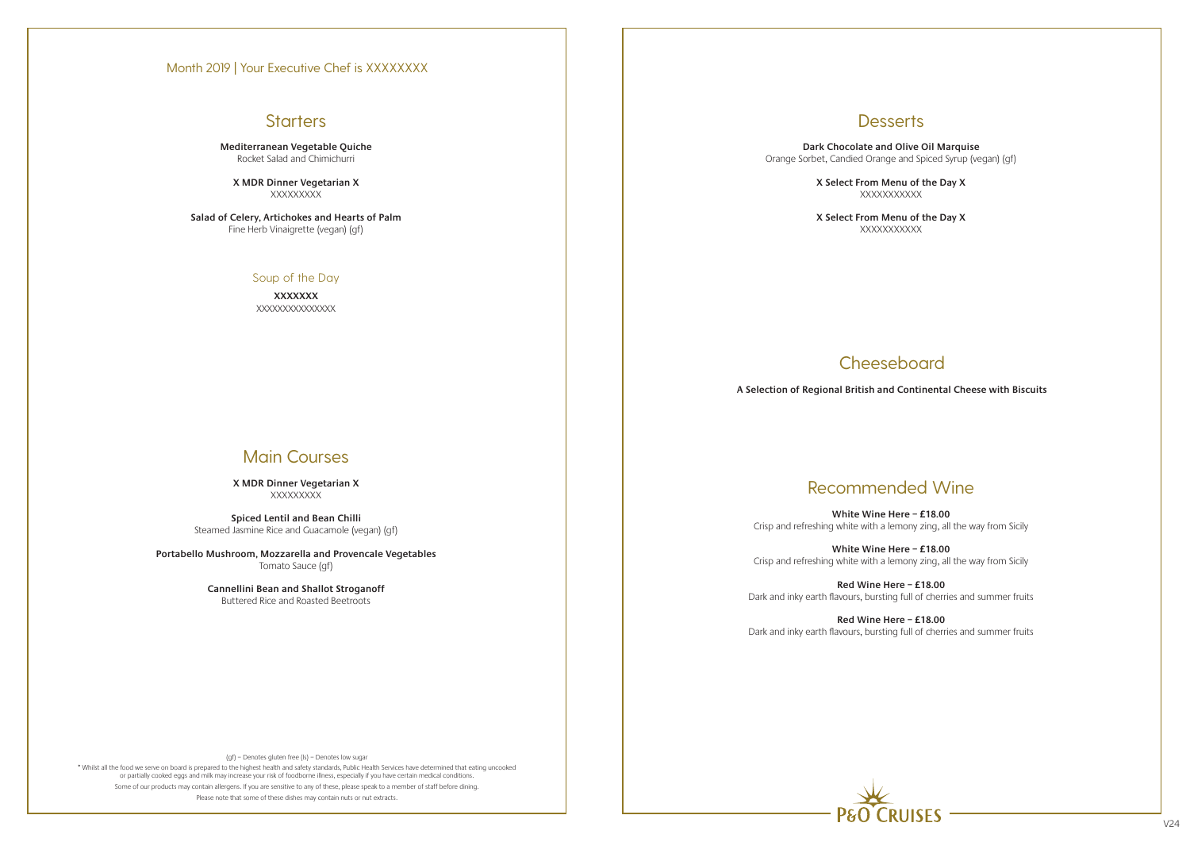# **Starters**

(gf) – Denotes gluten free (ls) – Denotes low sugar

\* Whilst all the food we serve on board is prepared to the highest health and safety standards, Public Health Services have determined that eating uncooked or partially cooked eggs and milk may increase your risk of foodborne illness, especially if you have certain medical conditions. Some of our products may contain allergens. If you are sensitive to any of these, please speak to a member of staff before dining. Please note that some of these dishes may contain nuts or nut extracts.

**X MDR Dinner Vegetarian X XXXXXXXX** 

**X MDR Dinner Vegetarian X XXXXXXXXX** 

**Mediterranean Vegetable Quiche** Rocket Salad and Chimichurri

**Salad of Celery, Artichokes and Hearts of Palm** Fine Herb Vinaigrette (vegan) (gf)

### Soup of the Day

**XXXXXXX** XXXXXXXXXXXXXXX

# Main Courses

**Spiced Lentil and Bean Chilli** Steamed Jasmine Rice and Guacamole (vegan) (gf)

**Portabello Mushroom, Mozzarella and Provencale Vegetables** Tomato Sauce (gf)

> **Cannellini Bean and Shallot Stroganoff** Buttered Rice and Roasted Beetroots

**Desserts** 

**Dark Chocolate and Olive Oil Marquise** Orange Sorbet, Candied Orange and Spiced Syrup (vegan) (gf)

> **X Select From Menu of the Day X** XXXXXXXXXXX

**XXXXXXXXXX** 

**Cheeseboard** 

**X Select From Menu of the Day X**



# Recommended Wine

**White Wine Here – £18.00** Crisp and refreshing white with a lemony zing, all the way from Sicily

**White Wine Here – £18.00** Crisp and refreshing white with a lemony zing, all the way from Sicily

**Red Wine Here – £18.00** Dark and inky earth flavours, bursting full of cherries and summer fruits

**Red Wine Here – £18.00** Dark and inky earth flavours, bursting full of cherries and summer fruits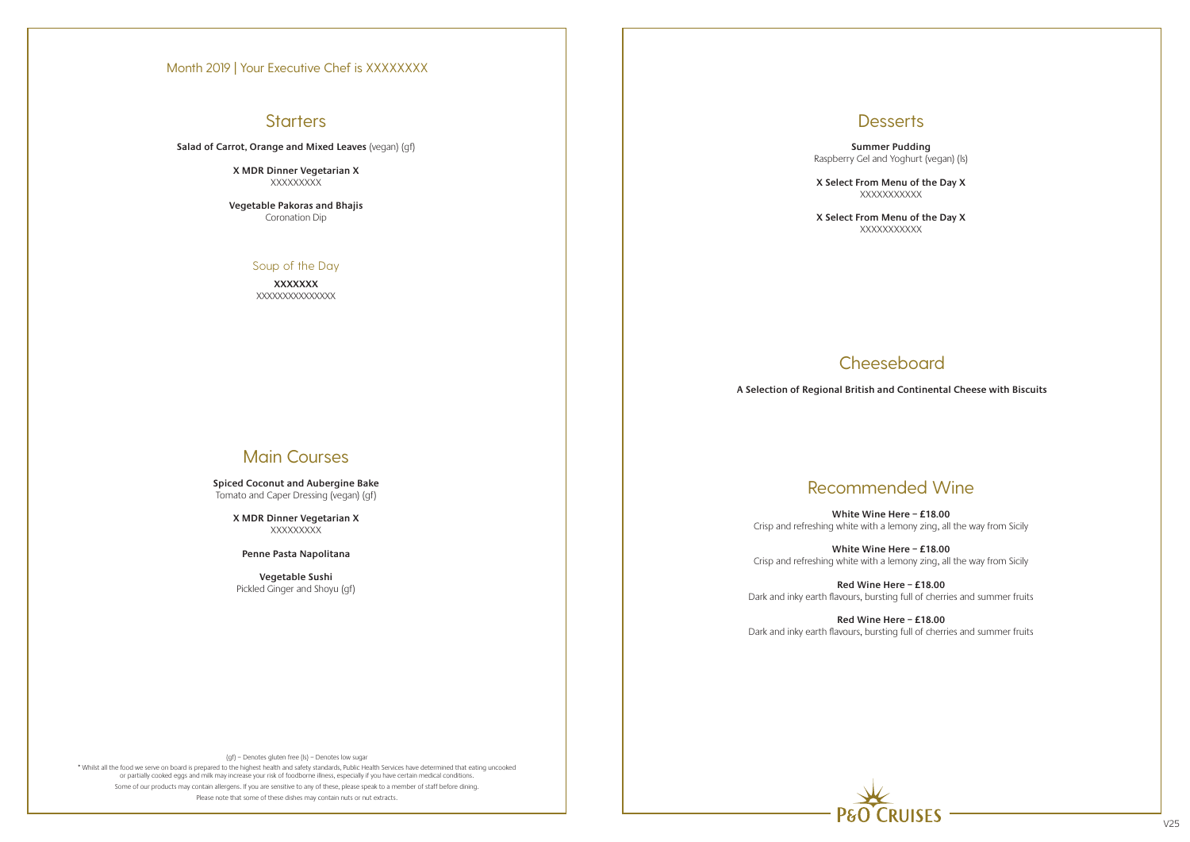# **Starters**

(gf) – Denotes gluten free (ls) – Denotes low sugar

\* Whilst all the food we serve on board is prepared to the highest health and safety standards, Public Health Services have determined that eating uncooked or partially cooked eggs and milk may increase your risk of foodborne illness, especially if you have certain medical conditions. Some of our products may contain allergens. If you are sensitive to any of these, please speak to a member of staff before dining. Please note that some of these dishes may contain nuts or nut extracts.



**X MDR Dinner Vegetarian X XXXXXXXX** 

**X MDR Dinner Vegetarian X XXXXXXXX** 

**X Select From Menu of the Day X XXXXXXXXXX** 

**X Select From Menu of the Day X XXXXXXXXXX** 

# **Cheeseboard**

**Salad of Carrot, Orange and Mixed Leaves** (vegan) (gf)

**Vegetable Pakoras and Bhajis** Coronation Dip

### Soup of the Day

**XXXXXXX** XXXXXXXXXXXXXXX

# Main Courses

**Spiced Coconut and Aubergine Bake** Tomato and Caper Dressing (vegan) (gf)

**Penne Pasta Napolitana**

**Vegetable Sushi** Pickled Ginger and Shoyu (gf)

## **Desserts**

**Summer Pudding** Raspberry Gel and Yoghurt (vegan) (ls)

# Recommended Wine

**White Wine Here – £18.00** Crisp and refreshing white with a lemony zing, all the way from Sicily

**White Wine Here – £18.00** Crisp and refreshing white with a lemony zing, all the way from Sicily

**Red Wine Here – £18.00** Dark and inky earth flavours, bursting full of cherries and summer fruits

**Red Wine Here – £18.00** Dark and inky earth flavours, bursting full of cherries and summer fruits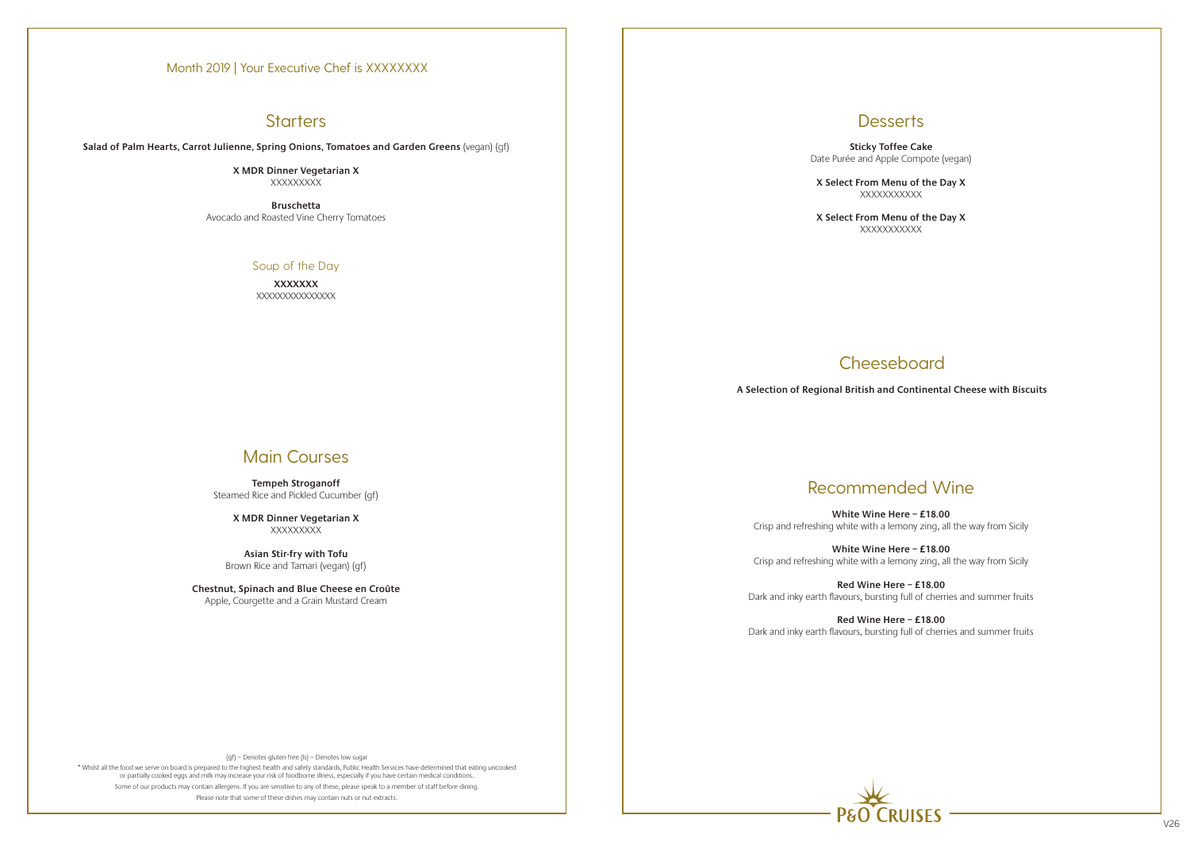## **Starters**

(gf) – Denotes gluten free (ls) – Denotes low sugar

\* Whilst all the food we serve on board is prepared to the highest health and safety standards, Public Health Services have determined that eating uncooked or partially cooked eggs and milk may increase your risk of foodborne illness, especially if you have certain medical conditions. Some of our products may contain allergens. If you are sensitive to any of these, please speak to a member of staff before dining. Please note that some of these dishes may contain nuts or nut extracts.



**X MDR Dinner Vegetarian X XXXXXXXX** 

**X MDR Dinner Vegetarian X XXXXXXXX** 

**X Select From Menu of the Day X XXXXXXXXXX** 

**X Select From Menu of the Day X XXXXXXXXXX** 

# **Cheeseboard**

**Salad of Palm Hearts, Carrot Julienne, Spring Onions, Tomatoes and Garden Greens** (vegan) (gf)

**Bruschetta**  Avocado and Roasted Vine Cherry Tomatoes

### Soup of the Day

**XXXXXXX** XXXXXXXXXXXXXXX

# Main Courses

**Tempeh Stroganoff** Steamed Rice and Pickled Cucumber (gf)

**Asian Stir-fry with Tofu** Brown Rice and Tamari (vegan) (gf)

**Chestnut, Spinach and Blue Cheese en Croûte** Apple, Courgette and a Grain Mustard Cream

## **Desserts**

**Sticky Toffee Cake** Date Purée and Apple Compote (vegan)

# Recommended Wine

**White Wine Here – £18.00** Crisp and refreshing white with a lemony zing, all the way from Sicily

**White Wine Here – £18.00** Crisp and refreshing white with a lemony zing, all the way from Sicily

**Red Wine Here – £18.00** Dark and inky earth flavours, bursting full of cherries and summer fruits

**Red Wine Here – £18.00** Dark and inky earth flavours, bursting full of cherries and summer fruits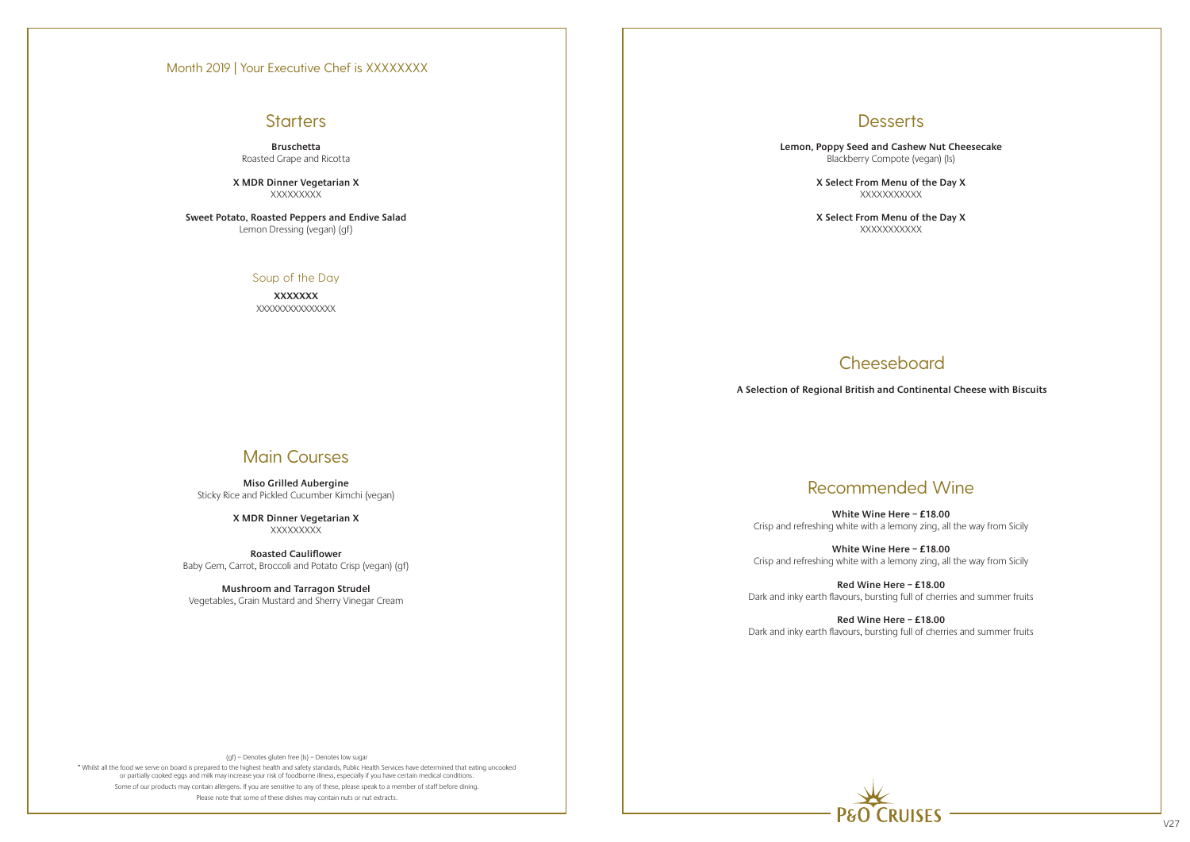# **Starters**

(gf) – Denotes gluten free (ls) – Denotes low sugar

\* Whilst all the food we serve on board is prepared to the highest health and safety standards, Public Health Services have determined that eating uncooked or partially cooked eggs and milk may increase your risk of foodborne illness, especially if you have certain medical conditions. Some of our products may contain allergens. If you are sensitive to any of these, please speak to a member of staff before dining. Please note that some of these dishes may contain nuts or nut extracts.

**X MDR Dinner Vegetarian X XXXXXXXX** 



**X MDR Dinner Vegetarian X XXXXXXXX** 

**Bruschetta** Roasted Grape and Ricotta

> **X Select From Menu of the Day X XXXXXXXXXX**

> > **Cheeseboard**

**Sweet Potato, Roasted Peppers and Endive Salad** Lemon Dressing (vegan) (gf)

### Soup of the Day

**XXXXXXX** XXXXXXXXXXXXXXX

# Main Courses

**Miso Grilled Aubergine** Sticky Rice and Pickled Cucumber Kimchi (vegan)

**Roasted Cauliflower** Baby Gem, Carrot, Broccoli and Potato Crisp (vegan) (gf)

**Mushroom and Tarragon Strudel** Vegetables, Grain Mustard and Sherry Vinegar Cream **Desserts** 

**Lemon, Poppy Seed and Cashew Nut Cheesecake**  Blackberry Compote (vegan) (ls)

> **X Select From Menu of the Day X** XXXXXXXXXXX

# Recommended Wine

**White Wine Here – £18.00** Crisp and refreshing white with a lemony zing, all the way from Sicily

**White Wine Here – £18.00** Crisp and refreshing white with a lemony zing, all the way from Sicily

**Red Wine Here – £18.00** Dark and inky earth flavours, bursting full of cherries and summer fruits

**Red Wine Here – £18.00** Dark and inky earth flavours, bursting full of cherries and summer fruits